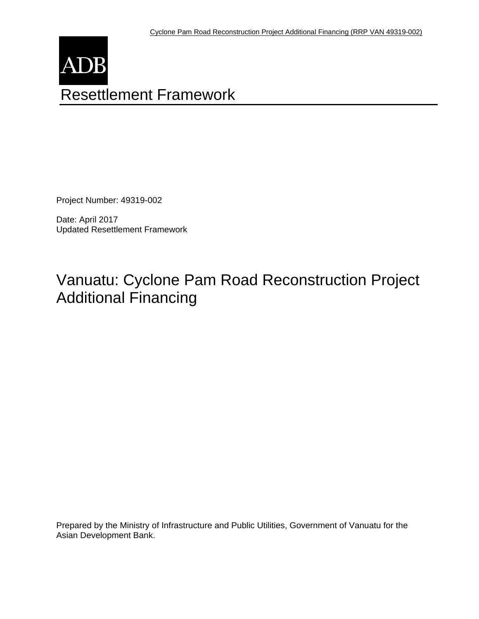

Project Number: 49319-002

Date: April 2017 Updated Resettlement Framework

# Vanuatu: Cyclone Pam Road Reconstruction Project Additional Financing

Prepared by the Ministry of Infrastructure and Public Utilities, Government of Vanuatu for the Asian Development Bank.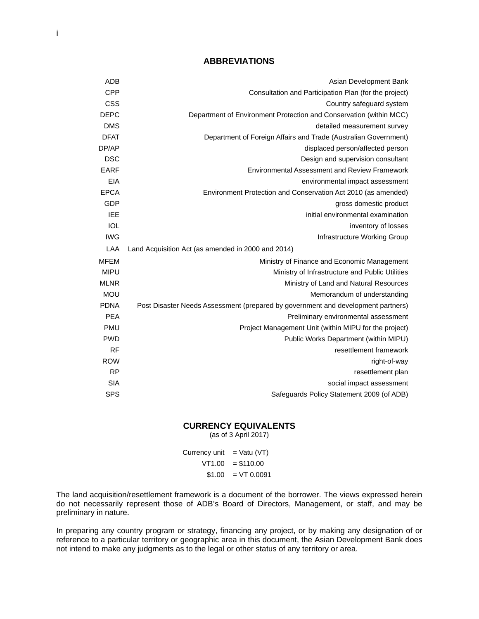#### **ABBREVIATIONS**

| Asian Development Bank                                                           | <b>ADB</b>  |
|----------------------------------------------------------------------------------|-------------|
| Consultation and Participation Plan (for the project)                            | <b>CPP</b>  |
| Country safeguard system                                                         | <b>CSS</b>  |
| Department of Environment Protection and Conservation (within MCC)               | <b>DEPC</b> |
| detailed measurement survey                                                      | <b>DMS</b>  |
| Department of Foreign Affairs and Trade (Australian Government)                  | <b>DFAT</b> |
| displaced person/affected person                                                 | DP/AP       |
| Design and supervision consultant                                                | <b>DSC</b>  |
| <b>Environmental Assessment and Review Framework</b>                             | <b>EARF</b> |
| environmental impact assessment                                                  | EIA         |
| Environment Protection and Conservation Act 2010 (as amended)                    | <b>EPCA</b> |
| gross domestic product                                                           | <b>GDP</b>  |
| initial environmental examination                                                | <b>IEE</b>  |
| inventory of losses                                                              | <b>IOL</b>  |
| Infrastructure Working Group                                                     | <b>IWG</b>  |
| Land Acquisition Act (as amended in 2000 and 2014)                               | LAA         |
| Ministry of Finance and Economic Management                                      | <b>MFEM</b> |
| Ministry of Infrastructure and Public Utilities                                  | <b>MIPU</b> |
| Ministry of Land and Natural Resources                                           | <b>MLNR</b> |
| Memorandum of understanding                                                      | <b>MOU</b>  |
| Post Disaster Needs Assessment (prepared by government and development partners) | <b>PDNA</b> |
| Preliminary environmental assessment                                             | <b>PEA</b>  |
| Project Management Unit (within MIPU for the project)                            | <b>PMU</b>  |
| Public Works Department (within MIPU)                                            | <b>PWD</b>  |
| resettlement framework                                                           | <b>RF</b>   |
| right-of-way                                                                     | <b>ROW</b>  |
| resettlement plan                                                                | <b>RP</b>   |
| social impact assessment                                                         | <b>SIA</b>  |
| Safeguards Policy Statement 2009 (of ADB)                                        | <b>SPS</b>  |

#### **CURRENCY EQUIVALENTS**

(as of 3 April 2017)

Currency unit  $=$  Vatu (VT)  $VT1.00 = $110.00$  $$1.00 = VT 0.0091$ 

The land acquisition/resettlement framework is a document of the borrower. The views expressed herein do not necessarily represent those of ADB's Board of Directors, Management, or staff, and may be preliminary in nature.

In preparing any country program or strategy, financing any project, or by making any designation of or reference to a particular territory or geographic area in this document, the Asian Development Bank does not intend to make any judgments as to the legal or other status of any territory or area.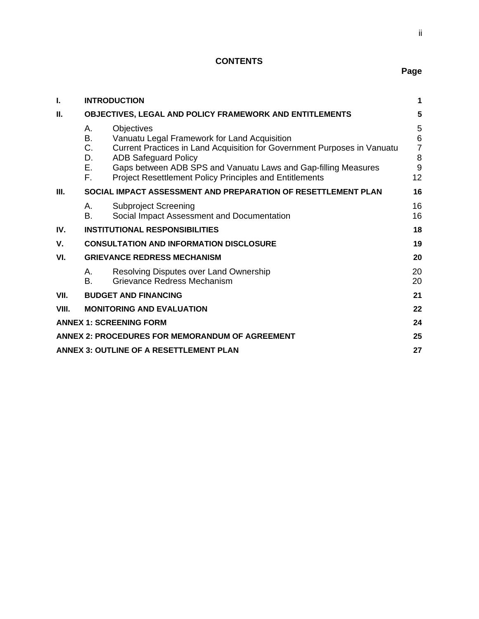# **CONTENTS**

| I.                                                                   | <b>INTRODUCTION</b><br>$\mathbf 1$                                                                                                                                                                                                                                                                                                            |                                                        |  |  |  |
|----------------------------------------------------------------------|-----------------------------------------------------------------------------------------------------------------------------------------------------------------------------------------------------------------------------------------------------------------------------------------------------------------------------------------------|--------------------------------------------------------|--|--|--|
| П.<br><b>OBJECTIVES, LEGAL AND POLICY FRAMEWORK AND ENTITLEMENTS</b> |                                                                                                                                                                                                                                                                                                                                               | 5                                                      |  |  |  |
|                                                                      | А.<br><b>Objectives</b><br>В.<br>Vanuatu Legal Framework for Land Acquisition<br>C.<br>Current Practices in Land Acquisition for Government Purposes in Vanuatu<br><b>ADB Safeguard Policy</b><br>D.<br>Е.<br>Gaps between ADB SPS and Vanuatu Laws and Gap-filling Measures<br>Project Resettlement Policy Principles and Entitlements<br>F. | 5<br>$6\phantom{1}6$<br>$\overline{7}$<br>8<br>9<br>12 |  |  |  |
| III.                                                                 | SOCIAL IMPACT ASSESSMENT AND PREPARATION OF RESETTLEMENT PLAN                                                                                                                                                                                                                                                                                 | 16                                                     |  |  |  |
|                                                                      | <b>Subproject Screening</b><br>А.<br>Β.<br>Social Impact Assessment and Documentation                                                                                                                                                                                                                                                         | 16<br>16                                               |  |  |  |
| IV.                                                                  | <b>INSTITUTIONAL RESPONSIBILITIES</b>                                                                                                                                                                                                                                                                                                         | 18                                                     |  |  |  |
| V.                                                                   | <b>CONSULTATION AND INFORMATION DISCLOSURE</b>                                                                                                                                                                                                                                                                                                | 19                                                     |  |  |  |
| VI.                                                                  | <b>GRIEVANCE REDRESS MECHANISM</b>                                                                                                                                                                                                                                                                                                            | 20                                                     |  |  |  |
|                                                                      | Resolving Disputes over Land Ownership<br>А.<br>Grievance Redress Mechanism<br>В.                                                                                                                                                                                                                                                             | 20<br>20                                               |  |  |  |
| VII.                                                                 | <b>BUDGET AND FINANCING</b>                                                                                                                                                                                                                                                                                                                   | 21                                                     |  |  |  |
| VIII.                                                                | <b>MONITORING AND EVALUATION</b>                                                                                                                                                                                                                                                                                                              | 22                                                     |  |  |  |
|                                                                      | <b>ANNEX 1: SCREENING FORM</b>                                                                                                                                                                                                                                                                                                                | 24                                                     |  |  |  |
|                                                                      | ANNEX 2: PROCEDURES FOR MEMORANDUM OF AGREEMENT<br>25                                                                                                                                                                                                                                                                                         |                                                        |  |  |  |
|                                                                      | <b>ANNEX 3: OUTLINE OF A RESETTLEMENT PLAN</b>                                                                                                                                                                                                                                                                                                | 27                                                     |  |  |  |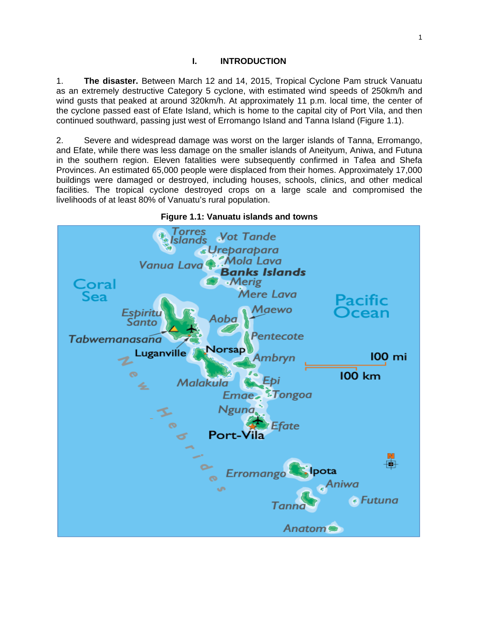#### **I. INTRODUCTION**

1. **The disaster.** Between March 12 and 14, 2015, Tropical Cyclone Pam struck Vanuatu as an extremely destructive Category 5 cyclone, with estimated wind speeds of 250km/h and wind gusts that peaked at around 320km/h. At approximately 11 p.m. local time, the center of the cyclone passed east of Efate Island, which is home to the capital city of Port Vila, and then continued southward, passing just west of Erromango Island and Tanna Island (Figure 1.1).

2. Severe and widespread damage was worst on the larger islands of Tanna, Erromango, and Efate, while there was less damage on the smaller islands of Aneityum, Aniwa, and Futuna in the southern region. Eleven fatalities were subsequently confirmed in Tafea and Shefa Provinces. An estimated 65,000 people were displaced from their homes. Approximately 17,000 buildings were damaged or destroyed, including houses, schools, clinics, and other medical facilities. The tropical cyclone destroyed crops on a large scale and compromised the livelihoods of at least 80% of Vanuatu's rural population.



**Figure 1.1: Vanuatu islands and towns**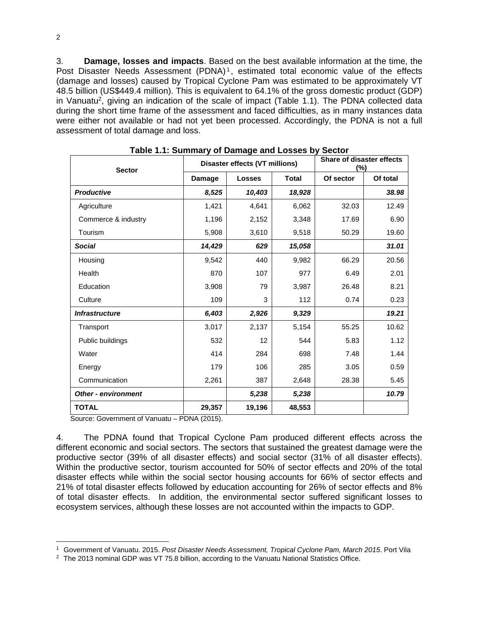3. **Damage, losses and impacts**. Based on the best available information at the time, the Post Disaster Needs Assessment (PDNA)<sup>1</sup>, estimated total economic value of the effects (damage and losses) caused by Tropical Cyclone Pam was estimated to be approximately VT 48.5 billion (US\$449.4 million). This is equivalent to 64.1% of the gross domestic product (GDP) in Vanuatu<sup>2</sup>, giving an indication of the scale of impact (Table 1.1). The PDNA collected data during the short time frame of the assessment and faced difficulties, as in many instances data were either not available or had not yet been processed. Accordingly, the PDNA is not a full assessment of total damage and loss.

| <b>Sector</b>              | Disaster effects (VT millions) |               |              | <b>Share of disaster effects</b><br>$(\%)$ |          |
|----------------------------|--------------------------------|---------------|--------------|--------------------------------------------|----------|
|                            | Damage                         | <b>Losses</b> | <b>Total</b> | Of sector                                  | Of total |
| <b>Productive</b>          | 8,525                          | 10,403        | 18,928       |                                            | 38.98    |
| Agriculture                | 1,421                          | 4,641         | 6,062        | 32.03                                      | 12.49    |
| Commerce & industry        | 1,196                          | 2,152         | 3,348        | 17.69                                      | 6.90     |
| Tourism                    | 5,908                          | 3,610         | 9,518        | 50.29                                      | 19.60    |
| <b>Social</b>              | 14,429                         | 629           | 15,058       |                                            | 31.01    |
| Housing                    | 9,542                          | 440           | 9,982        | 66.29                                      | 20.56    |
| Health                     | 870                            | 107           | 977          | 6.49                                       | 2.01     |
| Education                  | 3,908                          | 79            | 3,987        | 26.48                                      | 8.21     |
| Culture                    | 109                            | 3             | 112          | 0.74                                       | 0.23     |
| <b>Infrastructure</b>      | 6,403                          | 2,926         | 9,329        |                                            | 19.21    |
| Transport                  | 3,017                          | 2,137         | 5,154        | 55.25                                      | 10.62    |
| Public buildings           | 532                            | 12            | 544          | 5.83                                       | 1.12     |
| Water                      | 414                            | 284           | 698          | 7.48                                       | 1.44     |
| Energy                     | 179                            | 106           | 285          | 3.05                                       | 0.59     |
| Communication              | 2,261                          | 387           | 2,648        | 28.38                                      | 5.45     |
| <b>Other - environment</b> |                                | 5,238         | 5,238        |                                            | 10.79    |
| <b>TOTAL</b>               | 29,357                         | 19,196        | 48,553       |                                            |          |

|  | Table 1.1: Summary of Damage and Losses by Sector |  |
|--|---------------------------------------------------|--|

Source: Government of Vanuatu – PDNA (2015).

4. The PDNA found that Tropical Cyclone Pam produced different effects across the different economic and social sectors. The sectors that sustained the greatest damage were the productive sector (39% of all disaster effects) and social sector (31% of all disaster effects). Within the productive sector, tourism accounted for 50% of sector effects and 20% of the total disaster effects while within the social sector housing accounts for 66% of sector effects and 21% of total disaster effects followed by education accounting for 26% of sector effects and 8% of total disaster effects. In addition, the environmental sector suffered significant losses to ecosystem services, although these losses are not accounted within the impacts to GDP.

<sup>&</sup>lt;sup>1</sup> Government of Vanuatu. 2015. *Post Disaster Needs Assessment, Tropical Cyclone Pam, March 2015*. Port Vila <sup>2</sup> The 2013 nominal GDP was VT 75.8 billion, according to the Vanuatu National Statistics Office.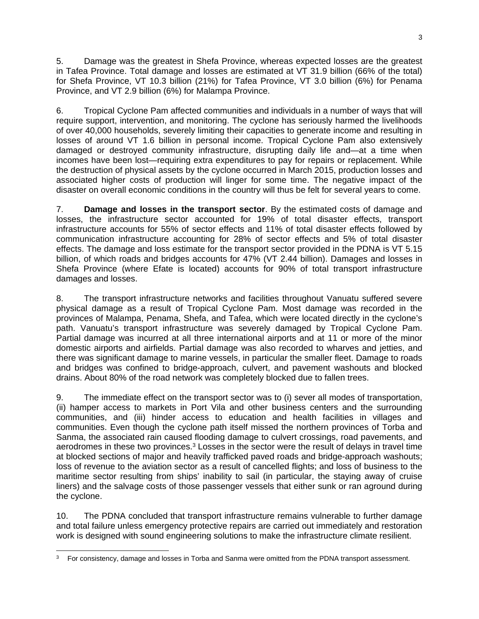5. Damage was the greatest in Shefa Province, whereas expected losses are the greatest in Tafea Province. Total damage and losses are estimated at VT 31.9 billion (66% of the total) for Shefa Province, VT 10.3 billion (21%) for Tafea Province, VT 3.0 billion (6%) for Penama Province, and VT 2.9 billion (6%) for Malampa Province.

6. Tropical Cyclone Pam affected communities and individuals in a number of ways that will require support, intervention, and monitoring. The cyclone has seriously harmed the livelihoods of over 40,000 households, severely limiting their capacities to generate income and resulting in losses of around VT 1.6 billion in personal income. Tropical Cyclone Pam also extensively damaged or destroyed community infrastructure, disrupting daily life and—at a time when incomes have been lost—requiring extra expenditures to pay for repairs or replacement. While the destruction of physical assets by the cyclone occurred in March 2015, production losses and associated higher costs of production will linger for some time. The negative impact of the disaster on overall economic conditions in the country will thus be felt for several years to come.

7. **Damage and losses in the transport sector**. By the estimated costs of damage and losses, the infrastructure sector accounted for 19% of total disaster effects, transport infrastructure accounts for 55% of sector effects and 11% of total disaster effects followed by communication infrastructure accounting for 28% of sector effects and 5% of total disaster effects. The damage and loss estimate for the transport sector provided in the PDNA is VT 5.15 billion, of which roads and bridges accounts for 47% (VT 2.44 billion). Damages and losses in Shefa Province (where Efate is located) accounts for 90% of total transport infrastructure damages and losses.

8. The transport infrastructure networks and facilities throughout Vanuatu suffered severe physical damage as a result of Tropical Cyclone Pam. Most damage was recorded in the provinces of Malampa, Penama, Shefa, and Tafea, which were located directly in the cyclone's path. Vanuatu's transport infrastructure was severely damaged by Tropical Cyclone Pam. Partial damage was incurred at all three international airports and at 11 or more of the minor domestic airports and airfields. Partial damage was also recorded to wharves and jetties, and there was significant damage to marine vessels, in particular the smaller fleet. Damage to roads and bridges was confined to bridge-approach, culvert, and pavement washouts and blocked drains. About 80% of the road network was completely blocked due to fallen trees.

9. The immediate effect on the transport sector was to (i) sever all modes of transportation, (ii) hamper access to markets in Port Vila and other business centers and the surrounding communities, and (iii) hinder access to education and health facilities in villages and communities. Even though the cyclone path itself missed the northern provinces of Torba and Sanma, the associated rain caused flooding damage to culvert crossings, road pavements, and aerodromes in these two provinces.<sup>3</sup> Losses in the sector were the result of delays in travel time at blocked sections of major and heavily trafficked paved roads and bridge-approach washouts; loss of revenue to the aviation sector as a result of cancelled flights; and loss of business to the maritime sector resulting from ships' inability to sail (in particular, the staying away of cruise liners) and the salvage costs of those passenger vessels that either sunk or ran aground during the cyclone.

10. The PDNA concluded that transport infrastructure remains vulnerable to further damage and total failure unless emergency protective repairs are carried out immediately and restoration work is designed with sound engineering solutions to make the infrastructure climate resilient.

<sup>-</sup> $3$  For consistency, damage and losses in Torba and Sanma were omitted from the PDNA transport assessment.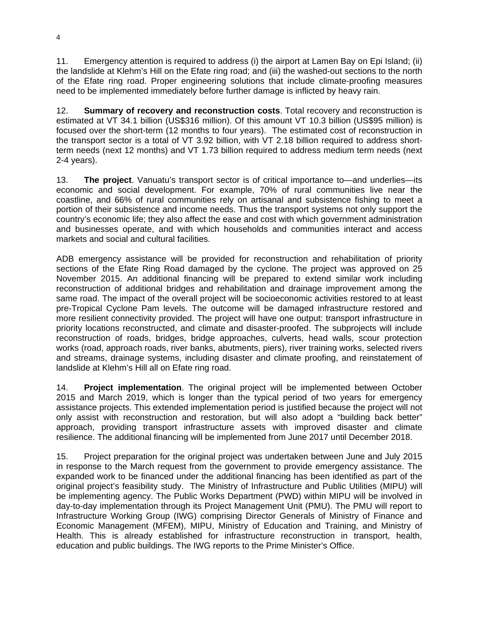11. Emergency attention is required to address (i) the airport at Lamen Bay on Epi Island; (ii) the landslide at Klehm's Hill on the Efate ring road; and (iii) the washed-out sections to the north of the Efate ring road. Proper engineering solutions that include climate-proofing measures need to be implemented immediately before further damage is inflicted by heavy rain.

12. **Summary of recovery and reconstruction costs**. Total recovery and reconstruction is estimated at VT 34.1 billion (US\$316 million). Of this amount VT 10.3 billion (US\$95 million) is focused over the short-term (12 months to four years). The estimated cost of reconstruction in the transport sector is a total of VT 3.92 billion, with VT 2.18 billion required to address shortterm needs (next 12 months) and VT 1.73 billion required to address medium term needs (next 2-4 years).

13. **The project**. Vanuatu's transport sector is of critical importance to—and underlies—its economic and social development. For example, 70% of rural communities live near the coastline, and 66% of rural communities rely on artisanal and subsistence fishing to meet a portion of their subsistence and income needs. Thus the transport systems not only support the country's economic life; they also affect the ease and cost with which government administration and businesses operate, and with which households and communities interact and access markets and social and cultural facilities.

ADB emergency assistance will be provided for reconstruction and rehabilitation of priority sections of the Efate Ring Road damaged by the cyclone. The project was approved on 25 November 2015. An additional financing will be prepared to extend similar work including reconstruction of additional bridges and rehabilitation and drainage improvement among the same road. The impact of the overall project will be socioeconomic activities restored to at least pre-Tropical Cyclone Pam levels. The outcome will be damaged infrastructure restored and more resilient connectivity provided. The project will have one output: transport infrastructure in priority locations reconstructed, and climate and disaster-proofed. The subprojects will include reconstruction of roads, bridges, bridge approaches, culverts, head walls, scour protection works (road, approach roads, river banks, abutments, piers), river training works, selected rivers and streams, drainage systems, including disaster and climate proofing, and reinstatement of landslide at Klehm's Hill all on Efate ring road.

14. **Project implementation**. The original project will be implemented between October 2015 and March 2019, which is longer than the typical period of two years for emergency assistance projects. This extended implementation period is justified because the project will not only assist with reconstruction and restoration, but will also adopt a "building back better" approach, providing transport infrastructure assets with improved disaster and climate resilience. The additional financing will be implemented from June 2017 until December 2018.

15. Project preparation for the original project was undertaken between June and July 2015 in response to the March request from the government to provide emergency assistance. The expanded work to be financed under the additional financing has been identified as part of the original project's feasibility study. The Ministry of Infrastructure and Public Utilities (MIPU) will be implementing agency. The Public Works Department (PWD) within MIPU will be involved in day-to-day implementation through its Project Management Unit (PMU). The PMU will report to Infrastructure Working Group (IWG) comprising Director Generals of Ministry of Finance and Economic Management (MFEM), MIPU, Ministry of Education and Training, and Ministry of Health. This is already established for infrastructure reconstruction in transport, health, education and public buildings. The IWG reports to the Prime Minister's Office.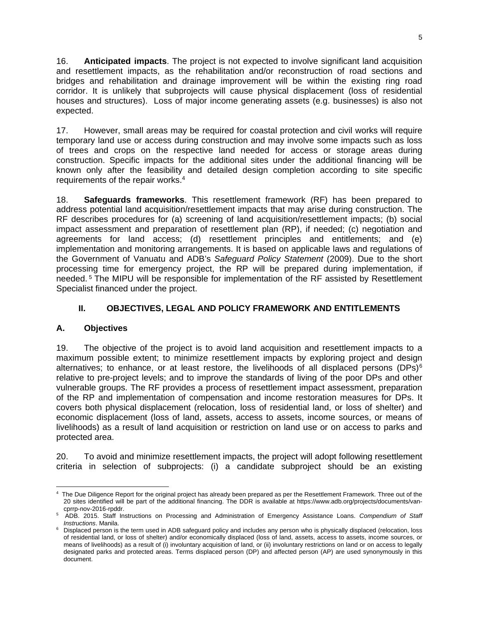16. **Anticipated impacts**. The project is not expected to involve significant land acquisition and resettlement impacts, as the rehabilitation and/or reconstruction of road sections and bridges and rehabilitation and drainage improvement will be within the existing ring road corridor. It is unlikely that subprojects will cause physical displacement (loss of residential houses and structures). Loss of major income generating assets (e.g. businesses) is also not expected.

17. However, small areas may be required for coastal protection and civil works will require temporary land use or access during construction and may involve some impacts such as loss of trees and crops on the respective land needed for access or storage areas during construction. Specific impacts for the additional sites under the additional financing will be known only after the feasibility and detailed design completion according to site specific requirements of the repair works.4

18. **Safeguards frameworks**. This resettlement framework (RF) has been prepared to address potential land acquisition/resettlement impacts that may arise during construction. The RF describes procedures for (a) screening of land acquisition/resettlement impacts; (b) social impact assessment and preparation of resettlement plan (RP), if needed; (c) negotiation and agreements for land access; (d) resettlement principles and entitlements; and (e) implementation and monitoring arrangements. It is based on applicable laws and regulations of the Government of Vanuatu and ADB's *Safeguard Policy Statement* (2009). Due to the short processing time for emergency project, the RP will be prepared during implementation, if needed. 5 The MIPU will be responsible for implementation of the RF assisted by Resettlement Specialist financed under the project.

## **II. OBJECTIVES, LEGAL AND POLICY FRAMEWORK AND ENTITLEMENTS**

## **A. Objectives**

19. The objective of the project is to avoid land acquisition and resettlement impacts to a maximum possible extent; to minimize resettlement impacts by exploring project and design alternatives; to enhance, or at least restore, the livelihoods of all displaced persons (DPs) $6$ relative to pre-project levels; and to improve the standards of living of the poor DPs and other vulnerable groups. The RF provides a process of resettlement impact assessment, preparation of the RP and implementation of compensation and income restoration measures for DPs. It covers both physical displacement (relocation, loss of residential land, or loss of shelter) and economic displacement (loss of land, assets, access to assets, income sources, or means of livelihoods) as a result of land acquisition or restriction on land use or on access to parks and protected area.

20. To avoid and minimize resettlement impacts, the project will adopt following resettlement criteria in selection of subprojects: (i) a candidate subproject should be an existing

 4 The Due Diligence Report for the original project has already been prepared as per the Resettlement Framework. Three out of the 20 sites identified will be part of the additional financing. The DDR is available at https://www.adb.org/projects/documents/van-

<sup>&</sup>lt;sup>5</sup> ADB. 2015. Staff Instructions on Processing and Administration of Emergency Assistance Loans. *Compendium of Staff Instructions* Manila.

*Instructions*. Manila. 6 Displaced person is the term used in ADB safeguard policy and includes any person who is physically displaced (relocation, loss of residential land, or loss of shelter) and/or economically displaced (loss of land, assets, access to assets, income sources, or means of livelihoods) as a result of (i) involuntary acquisition of land, or (ii) involuntary restrictions on land or on access to legally designated parks and protected areas. Terms displaced person (DP) and affected person (AP) are used synonymously in this document.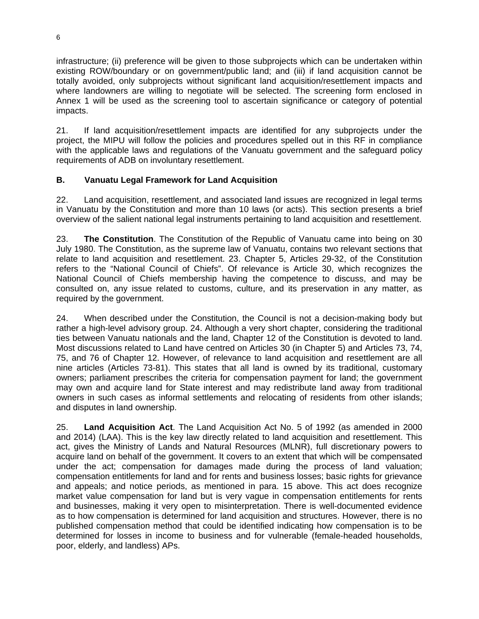infrastructure; (ii) preference will be given to those subprojects which can be undertaken within existing ROW/boundary or on government/public land; and (iii) if land acquisition cannot be totally avoided, only subprojects without significant land acquisition/resettlement impacts and where landowners are willing to negotiate will be selected. The screening form enclosed in Annex 1 will be used as the screening tool to ascertain significance or category of potential impacts.

21. If land acquisition/resettlement impacts are identified for any subprojects under the project, the MIPU will follow the policies and procedures spelled out in this RF in compliance with the applicable laws and regulations of the Vanuatu government and the safeguard policy requirements of ADB on involuntary resettlement.

## **B. Vanuatu Legal Framework for Land Acquisition**

22. Land acquisition, resettlement, and associated land issues are recognized in legal terms in Vanuatu by the Constitution and more than 10 laws (or acts). This section presents a brief overview of the salient national legal instruments pertaining to land acquisition and resettlement.

23. **The Constitution**. The Constitution of the Republic of Vanuatu came into being on 30 July 1980. The Constitution, as the supreme law of Vanuatu, contains two relevant sections that relate to land acquisition and resettlement. 23. Chapter 5, Articles 29-32, of the Constitution refers to the "National Council of Chiefs". Of relevance is Article 30, which recognizes the National Council of Chiefs membership having the competence to discuss, and may be consulted on, any issue related to customs, culture, and its preservation in any matter, as required by the government.

24. When described under the Constitution, the Council is not a decision-making body but rather a high-level advisory group. 24. Although a very short chapter, considering the traditional ties between Vanuatu nationals and the land, Chapter 12 of the Constitution is devoted to land. Most discussions related to Land have centred on Articles 30 (in Chapter 5) and Articles 73, 74, 75, and 76 of Chapter 12. However, of relevance to land acquisition and resettlement are all nine articles (Articles 73-81). This states that all land is owned by its traditional, customary owners; parliament prescribes the criteria for compensation payment for land; the government may own and acquire land for State interest and may redistribute land away from traditional owners in such cases as informal settlements and relocating of residents from other islands; and disputes in land ownership.

25. **Land Acquisition Act**. The Land Acquisition Act No. 5 of 1992 (as amended in 2000 and 2014) (LAA). This is the key law directly related to land acquisition and resettlement. This act, gives the Ministry of Lands and Natural Resources (MLNR), full discretionary powers to acquire land on behalf of the government. It covers to an extent that which will be compensated under the act; compensation for damages made during the process of land valuation; compensation entitlements for land and for rents and business losses; basic rights for grievance and appeals; and notice periods, as mentioned in para. 15 above. This act does recognize market value compensation for land but is very vague in compensation entitlements for rents and businesses, making it very open to misinterpretation. There is well-documented evidence as to how compensation is determined for land acquisition and structures. However, there is no published compensation method that could be identified indicating how compensation is to be determined for losses in income to business and for vulnerable (female-headed households, poor, elderly, and landless) APs.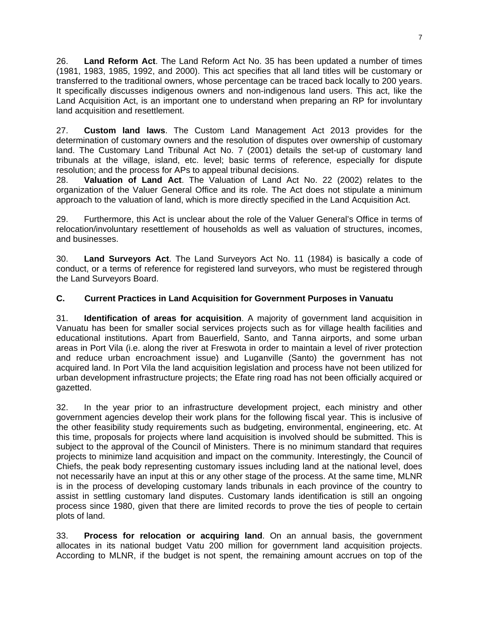26. **Land Reform Act**. The Land Reform Act No. 35 has been updated a number of times (1981, 1983, 1985, 1992, and 2000). This act specifies that all land titles will be customary or transferred to the traditional owners, whose percentage can be traced back locally to 200 years. It specifically discusses indigenous owners and non-indigenous land users. This act, like the Land Acquisition Act, is an important one to understand when preparing an RP for involuntary land acquisition and resettlement.

27. **Custom land laws**. The Custom Land Management Act 2013 provides for the determination of customary owners and the resolution of disputes over ownership of customary land. The Customary Land Tribunal Act No. 7 (2001) details the set-up of customary land tribunals at the village, island, etc. level; basic terms of reference, especially for dispute resolution; and the process for APs to appeal tribunal decisions.

28. **Valuation of Land Act**. The Valuation of Land Act No. 22 (2002) relates to the organization of the Valuer General Office and its role. The Act does not stipulate a minimum approach to the valuation of land, which is more directly specified in the Land Acquisition Act.

29. Furthermore, this Act is unclear about the role of the Valuer General's Office in terms of relocation/involuntary resettlement of households as well as valuation of structures, incomes, and businesses.

30. **Land Surveyors Act**. The Land Surveyors Act No. 11 (1984) is basically a code of conduct, or a terms of reference for registered land surveyors, who must be registered through the Land Surveyors Board.

## **C. Current Practices in Land Acquisition for Government Purposes in Vanuatu**

31. **Identification of areas for acquisition**. A majority of government land acquisition in Vanuatu has been for smaller social services projects such as for village health facilities and educational institutions. Apart from Bauerfield, Santo, and Tanna airports, and some urban areas in Port Vila (i.e. along the river at Freswota in order to maintain a level of river protection and reduce urban encroachment issue) and Luganville (Santo) the government has not acquired land. In Port Vila the land acquisition legislation and process have not been utilized for urban development infrastructure projects; the Efate ring road has not been officially acquired or gazetted.

32. In the year prior to an infrastructure development project, each ministry and other government agencies develop their work plans for the following fiscal year. This is inclusive of the other feasibility study requirements such as budgeting, environmental, engineering, etc. At this time, proposals for projects where land acquisition is involved should be submitted. This is subject to the approval of the Council of Ministers. There is no minimum standard that requires projects to minimize land acquisition and impact on the community. Interestingly, the Council of Chiefs, the peak body representing customary issues including land at the national level, does not necessarily have an input at this or any other stage of the process. At the same time, MLNR is in the process of developing customary lands tribunals in each province of the country to assist in settling customary land disputes. Customary lands identification is still an ongoing process since 1980, given that there are limited records to prove the ties of people to certain plots of land.

33. **Process for relocation or acquiring land**. On an annual basis, the government allocates in its national budget Vatu 200 million for government land acquisition projects. According to MLNR, if the budget is not spent, the remaining amount accrues on top of the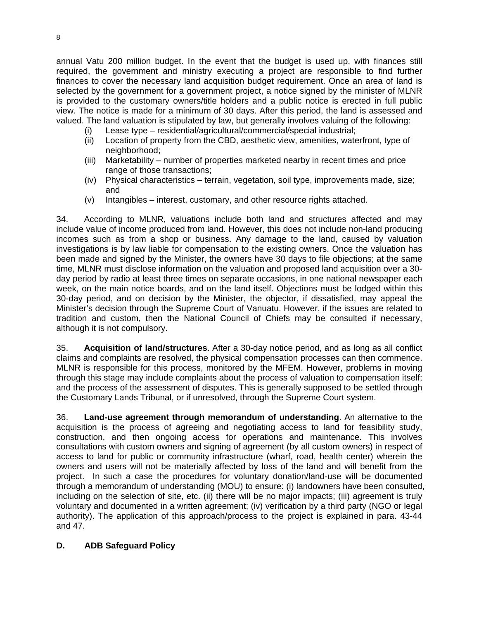annual Vatu 200 million budget. In the event that the budget is used up, with finances still required, the government and ministry executing a project are responsible to find further finances to cover the necessary land acquisition budget requirement. Once an area of land is selected by the government for a government project, a notice signed by the minister of MLNR is provided to the customary owners/title holders and a public notice is erected in full public view. The notice is made for a minimum of 30 days. After this period, the land is assessed and valued. The land valuation is stipulated by law, but generally involves valuing of the following:

- (i) Lease type residential/agricultural/commercial/special industrial;
- (ii) Location of property from the CBD, aesthetic view, amenities, waterfront, type of neighborhood;
- (iii) Marketability number of properties marketed nearby in recent times and price range of those transactions;
- (iv) Physical characteristics terrain, vegetation, soil type, improvements made, size; and
- (v) Intangibles interest, customary, and other resource rights attached.

34. According to MLNR, valuations include both land and structures affected and may include value of income produced from land. However, this does not include non-land producing incomes such as from a shop or business. Any damage to the land, caused by valuation investigations is by law liable for compensation to the existing owners. Once the valuation has been made and signed by the Minister, the owners have 30 days to file objections; at the same time, MLNR must disclose information on the valuation and proposed land acquisition over a 30 day period by radio at least three times on separate occasions, in one national newspaper each week, on the main notice boards, and on the land itself. Objections must be lodged within this 30-day period, and on decision by the Minister, the objector, if dissatisfied, may appeal the Minister's decision through the Supreme Court of Vanuatu. However, if the issues are related to tradition and custom, then the National Council of Chiefs may be consulted if necessary, although it is not compulsory.

35. **Acquisition of land/structures**. After a 30-day notice period, and as long as all conflict claims and complaints are resolved, the physical compensation processes can then commence. MLNR is responsible for this process, monitored by the MFEM. However, problems in moving through this stage may include complaints about the process of valuation to compensation itself; and the process of the assessment of disputes. This is generally supposed to be settled through the Customary Lands Tribunal, or if unresolved, through the Supreme Court system.

36. **Land-use agreement through memorandum of understanding**. An alternative to the acquisition is the process of agreeing and negotiating access to land for feasibility study, construction, and then ongoing access for operations and maintenance. This involves consultations with custom owners and signing of agreement (by all custom owners) in respect of access to land for public or community infrastructure (wharf, road, health center) wherein the owners and users will not be materially affected by loss of the land and will benefit from the project. In such a case the procedures for voluntary donation/land-use will be documented through a memorandum of understanding (MOU) to ensure: (i) landowners have been consulted, including on the selection of site, etc. (ii) there will be no major impacts; (iii) agreement is truly voluntary and documented in a written agreement; (iv) verification by a third party (NGO or legal authority). The application of this approach/process to the project is explained in para. 43-44 and 47.

#### **D. ADB Safeguard Policy**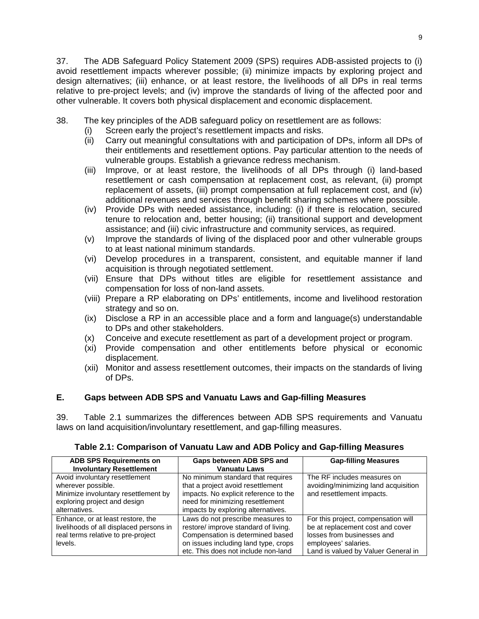37. The ADB Safeguard Policy Statement 2009 (SPS) requires ADB-assisted projects to (i) avoid resettlement impacts wherever possible; (ii) minimize impacts by exploring project and design alternatives; (iii) enhance, or at least restore, the livelihoods of all DPs in real terms relative to pre-project levels; and (iv) improve the standards of living of the affected poor and other vulnerable. It covers both physical displacement and economic displacement.

- 38. The key principles of the ADB safeguard policy on resettlement are as follows:
	- (i) Screen early the project's resettlement impacts and risks.
	- (ii) Carry out meaningful consultations with and participation of DPs, inform all DPs of their entitlements and resettlement options. Pay particular attention to the needs of vulnerable groups. Establish a grievance redress mechanism.
	- (iii) Improve, or at least restore, the livelihoods of all DPs through (i) land-based resettlement or cash compensation at replacement cost, as relevant, (ii) prompt replacement of assets, (iii) prompt compensation at full replacement cost, and (iv) additional revenues and services through benefit sharing schemes where possible.
	- (iv) Provide DPs with needed assistance, including: (i) if there is relocation, secured tenure to relocation and, better housing; (ii) transitional support and development assistance; and (iii) civic infrastructure and community services, as required.
	- (v) Improve the standards of living of the displaced poor and other vulnerable groups to at least national minimum standards.
	- (vi) Develop procedures in a transparent, consistent, and equitable manner if land acquisition is through negotiated settlement.
	- (vii) Ensure that DPs without titles are eligible for resettlement assistance and compensation for loss of non-land assets.
	- (viii) Prepare a RP elaborating on DPs' entitlements, income and livelihood restoration strategy and so on.
	- (ix) Disclose a RP in an accessible place and a form and language(s) understandable to DPs and other stakeholders.
	- (x) Conceive and execute resettlement as part of a development project or program.
	- (xi) Provide compensation and other entitlements before physical or economic displacement.
	- (xii) Monitor and assess resettlement outcomes, their impacts on the standards of living of DPs.

## **E. Gaps between ADB SPS and Vanuatu Laws and Gap-filling Measures**

39. Table 2.1 summarizes the differences between ADB SPS requirements and Vanuatu laws on land acquisition/involuntary resettlement, and gap-filling measures.

| <b>ADB SPS Requirements on</b><br><b>Involuntary Resettlement</b>                                                                             | Gaps between ADB SPS and<br><b>Vanuatu Laws</b>                                                                                                                                              | <b>Gap-filling Measures</b>                                                                                                                                          |
|-----------------------------------------------------------------------------------------------------------------------------------------------|----------------------------------------------------------------------------------------------------------------------------------------------------------------------------------------------|----------------------------------------------------------------------------------------------------------------------------------------------------------------------|
| Avoid involuntary resettlement<br>wherever possible.<br>Minimize involuntary resettlement by<br>exploring project and design<br>alternatives. | No minimum standard that requires<br>that a project avoid resettlement<br>impacts. No explicit reference to the<br>need for minimizing resettlement<br>impacts by exploring alternatives.    | The RF includes measures on<br>avoiding/minimizing land acquisition<br>and resettlement impacts.                                                                     |
| Enhance, or at least restore, the<br>livelihoods of all displaced persons in<br>real terms relative to pre-project<br>levels.                 | Laws do not prescribe measures to<br>restore/ improve standard of living.<br>Compensation is determined based<br>on issues including land type, crops<br>etc. This does not include non-land | For this project, compensation will<br>be at replacement cost and cover<br>losses from businesses and<br>employees' salaries.<br>Land is valued by Valuer General in |

**Table 2.1: Comparison of Vanuatu Law and ADB Policy and Gap-filling Measures**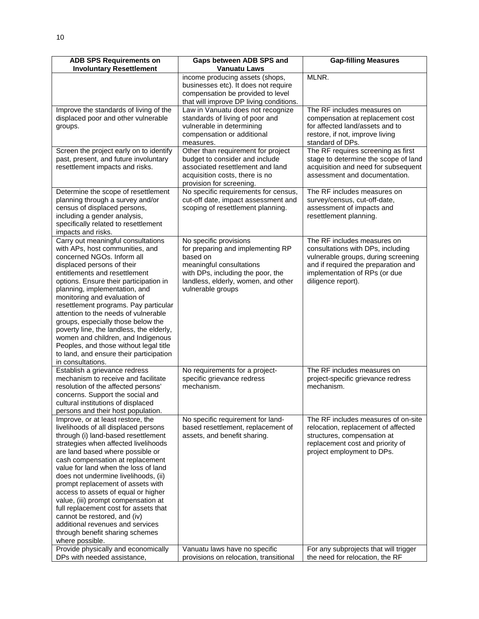| <b>ADB SPS Requirements on</b>                              | Gaps between ADB SPS and                                                 | <b>Gap-filling Measures</b>                                              |
|-------------------------------------------------------------|--------------------------------------------------------------------------|--------------------------------------------------------------------------|
| <b>Involuntary Resettlement</b>                             | <b>Vanuatu Laws</b>                                                      |                                                                          |
|                                                             | income producing assets (shops,                                          | MLNR.                                                                    |
|                                                             | businesses etc). It does not require                                     |                                                                          |
|                                                             | compensation be provided to level                                        |                                                                          |
|                                                             | that will improve DP living conditions.                                  |                                                                          |
| Improve the standards of living of the                      | Law in Vanuatu does not recognize                                        | The RF includes measures on                                              |
| displaced poor and other vulnerable                         | standards of living of poor and                                          | compensation at replacement cost                                         |
| groups.                                                     | vulnerable in determining                                                | for affected land/assets and to                                          |
|                                                             | compensation or additional                                               | restore, if not, improve living                                          |
|                                                             | measures.                                                                | standard of DPs.                                                         |
| Screen the project early on to identify                     | Other than requirement for project                                       | The RF requires screening as first                                       |
| past, present, and future involuntary                       | budget to consider and include                                           | stage to determine the scope of land                                     |
| resettlement impacts and risks.                             | associated resettlement and land                                         | acquisition and need for subsequent                                      |
|                                                             | acquisition costs, there is no                                           | assessment and documentation.                                            |
|                                                             | provision for screening.                                                 |                                                                          |
| Determine the scope of resettlement                         | No specific requirements for census,                                     | The RF includes measures on                                              |
| planning through a survey and/or                            | cut-off date, impact assessment and                                      | survey/census, cut-off-date,                                             |
| census of displaced persons,                                | scoping of resettlement planning.                                        | assessment of impacts and                                                |
| including a gender analysis,                                |                                                                          | resettlement planning.                                                   |
| specifically related to resettlement                        |                                                                          |                                                                          |
| impacts and risks.                                          |                                                                          |                                                                          |
| Carry out meaningful consultations                          | No specific provisions                                                   | The RF includes measures on                                              |
| with APs, host communities, and                             | for preparing and implementing RP<br>based on                            | consultations with DPs, including                                        |
| concerned NGOs. Inform all                                  | meaningful consultations                                                 | vulnerable groups, during screening                                      |
| displaced persons of their<br>entitlements and resettlement |                                                                          | and if required the preparation and                                      |
| options. Ensure their participation in                      | with DPs, including the poor, the<br>landless, elderly, women, and other | implementation of RPs (or due<br>diligence report).                      |
| planning, implementation, and                               | vulnerable groups                                                        |                                                                          |
| monitoring and evaluation of                                |                                                                          |                                                                          |
| resettlement programs. Pay particular                       |                                                                          |                                                                          |
| attention to the needs of vulnerable                        |                                                                          |                                                                          |
| groups, especially those below the                          |                                                                          |                                                                          |
| poverty line, the landless, the elderly,                    |                                                                          |                                                                          |
| women and children, and Indigenous                          |                                                                          |                                                                          |
| Peoples, and those without legal title                      |                                                                          |                                                                          |
| to land, and ensure their participation                     |                                                                          |                                                                          |
| in consultations.                                           |                                                                          |                                                                          |
| Establish a grievance redress                               | No requirements for a project-                                           | The RF includes measures on                                              |
| mechanism to receive and facilitate                         | specific grievance redress                                               | project-specific grievance redress                                       |
| resolution of the affected persons'                         | mechanism.                                                               | mechanism.                                                               |
| concerns. Support the social and                            |                                                                          |                                                                          |
| cultural institutions of displaced                          |                                                                          |                                                                          |
| persons and their host population.                          |                                                                          |                                                                          |
| Improve, or at least restore, the                           | No specific requirement for land-                                        | The RF includes measures of on-site                                      |
| livelihoods of all displaced persons                        | based resettlement, replacement of                                       | relocation, replacement of affected                                      |
| through (i) land-based resettlement                         | assets, and benefit sharing.                                             | structures, compensation at                                              |
| strategies when affected livelihoods                        |                                                                          | replacement cost and priority of                                         |
| are land based where possible or                            |                                                                          | project employment to DPs.                                               |
| cash compensation at replacement                            |                                                                          |                                                                          |
| value for land when the loss of land                        |                                                                          |                                                                          |
| does not undermine livelihoods, (ii)                        |                                                                          |                                                                          |
| prompt replacement of assets with                           |                                                                          |                                                                          |
| access to assets of equal or higher                         |                                                                          |                                                                          |
| value, (iii) prompt compensation at                         |                                                                          |                                                                          |
| full replacement cost for assets that                       |                                                                          |                                                                          |
| cannot be restored, and (iv)                                |                                                                          |                                                                          |
| additional revenues and services                            |                                                                          |                                                                          |
| through benefit sharing schemes                             |                                                                          |                                                                          |
| where possible.<br>Provide physically and economically      |                                                                          |                                                                          |
| DPs with needed assistance,                                 | Vanuatu laws have no specific                                            | For any subprojects that will trigger<br>the need for relocation, the RF |
|                                                             | provisions on relocation, transitional                                   |                                                                          |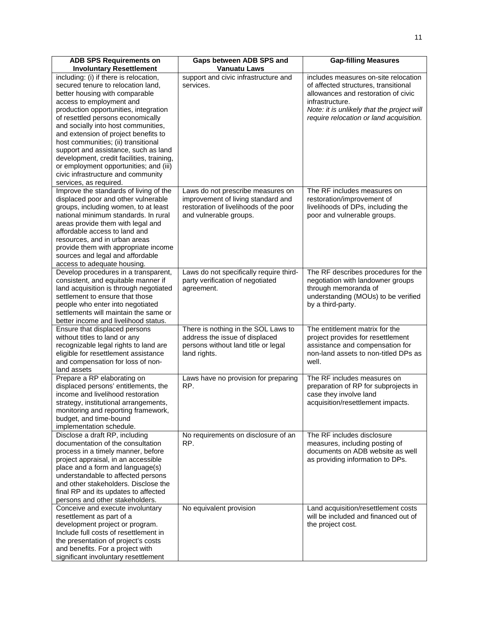| <b>ADB SPS Requirements on</b>                                                                                                                                                                                                                                                                                                                                                  | Gaps between ADB SPS and                                                                                                                    | <b>Gap-filling Measures</b>                                                                                                                                  |
|---------------------------------------------------------------------------------------------------------------------------------------------------------------------------------------------------------------------------------------------------------------------------------------------------------------------------------------------------------------------------------|---------------------------------------------------------------------------------------------------------------------------------------------|--------------------------------------------------------------------------------------------------------------------------------------------------------------|
| <b>Involuntary Resettlement</b>                                                                                                                                                                                                                                                                                                                                                 | <b>Vanuatu Laws</b>                                                                                                                         |                                                                                                                                                              |
| including: (i) if there is relocation,<br>secured tenure to relocation land,<br>better housing with comparable                                                                                                                                                                                                                                                                  | support and civic infrastructure and<br>services.                                                                                           | includes measures on-site relocation<br>of affected structures, transitional<br>allowances and restoration of civic                                          |
| access to employment and<br>production opportunities, integration<br>of resettled persons economically<br>and socially into host communities,                                                                                                                                                                                                                                   |                                                                                                                                             | infrastructure.<br>Note: it is unlikely that the project will<br>require relocation or land acquisition.                                                     |
| and extension of project benefits to<br>host communities; (ii) transitional<br>support and assistance, such as land<br>development, credit facilities, training,<br>or employment opportunities; and (iii)<br>civic infrastructure and community<br>services, as required.                                                                                                      |                                                                                                                                             |                                                                                                                                                              |
| Improve the standards of living of the<br>displaced poor and other vulnerable<br>groups, including women, to at least<br>national minimum standards. In rural<br>areas provide them with legal and<br>affordable access to land and<br>resources, and in urban areas<br>provide them with appropriate income<br>sources and legal and affordable<br>access to adequate housing. | Laws do not prescribe measures on<br>improvement of living standard and<br>restoration of livelihoods of the poor<br>and vulnerable groups. | The RF includes measures on<br>restoration/improvement of<br>livelihoods of DPs, including the<br>poor and vulnerable groups.                                |
| Develop procedures in a transparent,<br>consistent, and equitable manner if<br>land acquisition is through negotiated<br>settlement to ensure that those<br>people who enter into negotiated<br>settlements will maintain the same or<br>better income and livelihood status.                                                                                                   | Laws do not specifically require third-<br>party verification of negotiated<br>agreement.                                                   | The RF describes procedures for the<br>negotiation with landowner groups<br>through memoranda of<br>understanding (MOUs) to be verified<br>by a third-party. |
| Ensure that displaced persons<br>without titles to land or any<br>recognizable legal rights to land are<br>eligible for resettlement assistance<br>and compensation for loss of non-<br>land assets                                                                                                                                                                             | There is nothing in the SOL Laws to<br>address the issue of displaced<br>persons without land title or legal<br>land rights.                | The entitlement matrix for the<br>project provides for resettlement<br>assistance and compensation for<br>non-land assets to non-titled DPs as<br>well.      |
| Prepare a RP elaborating on<br>displaced persons' entitlements, the<br>income and livelihood restoration<br>strategy, institutional arrangements,<br>monitoring and reporting framework,<br>budget, and time-bound<br>implementation schedule.                                                                                                                                  | Laws have no provision for preparing<br>RP.                                                                                                 | The RF includes measures on<br>preparation of RP for subprojects in<br>case they involve land<br>acquisition/resettlement impacts.                           |
| Disclose a draft RP, including<br>documentation of the consultation<br>process in a timely manner, before<br>project appraisal, in an accessible<br>place and a form and language(s)<br>understandable to affected persons<br>and other stakeholders. Disclose the<br>final RP and its updates to affected<br>persons and other stakeholders.                                   | No requirements on disclosure of an<br>RP.                                                                                                  | The RF includes disclosure<br>measures, including posting of<br>documents on ADB website as well<br>as providing information to DPs.                         |
| Conceive and execute involuntary<br>resettlement as part of a<br>development project or program.<br>Include full costs of resettlement in<br>the presentation of project's costs<br>and benefits. For a project with<br>significant involuntary resettlement                                                                                                                    | No equivalent provision                                                                                                                     | Land acquisition/resettlement costs<br>will be included and financed out of<br>the project cost.                                                             |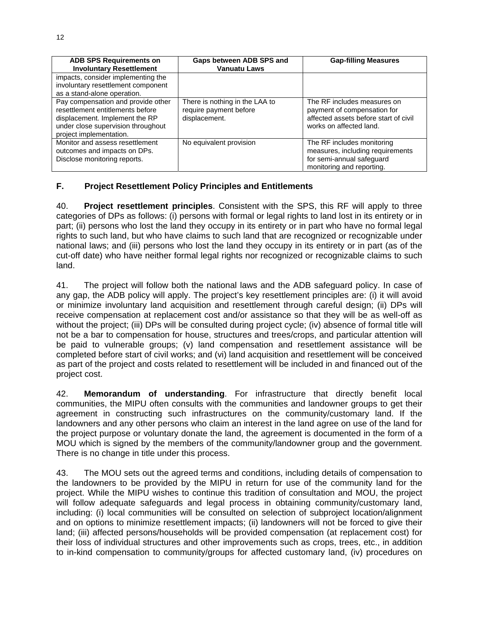| <b>ADB SPS Requirements on</b><br><b>Involuntary Resettlement</b>                                                                                                         | Gaps between ADB SPS and<br><b>Vanuatu Laws</b>                           | <b>Gap-filling Measures</b>                                                                                                    |
|---------------------------------------------------------------------------------------------------------------------------------------------------------------------------|---------------------------------------------------------------------------|--------------------------------------------------------------------------------------------------------------------------------|
| impacts, consider implementing the<br>involuntary resettlement component<br>as a stand-alone operation.                                                                   |                                                                           |                                                                                                                                |
| Pay compensation and provide other<br>resettlement entitlements before<br>displacement. Implement the RP<br>under close supervision throughout<br>project implementation. | There is nothing in the LAA to<br>require payment before<br>displacement. | The RF includes measures on<br>payment of compensation for<br>affected assets before start of civil<br>works on affected land. |
| Monitor and assess resettlement<br>outcomes and impacts on DPs.<br>Disclose monitoring reports.                                                                           | No equivalent provision                                                   | The RF includes monitoring<br>measures, including requirements<br>for semi-annual safeguard<br>monitoring and reporting.       |

## **F. Project Resettlement Policy Principles and Entitlements**

40. **Project resettlement principles**. Consistent with the SPS, this RF will apply to three categories of DPs as follows: (i) persons with formal or legal rights to land lost in its entirety or in part; (ii) persons who lost the land they occupy in its entirety or in part who have no formal legal rights to such land, but who have claims to such land that are recognized or recognizable under national laws; and (iii) persons who lost the land they occupy in its entirety or in part (as of the cut-off date) who have neither formal legal rights nor recognized or recognizable claims to such land.

41. The project will follow both the national laws and the ADB safeguard policy. In case of any gap, the ADB policy will apply. The project's key resettlement principles are: (i) it will avoid or minimize involuntary land acquisition and resettlement through careful design; (ii) DPs will receive compensation at replacement cost and/or assistance so that they will be as well-off as without the project; (iii) DPs will be consulted during project cycle; (iv) absence of formal title will not be a bar to compensation for house, structures and trees/crops, and particular attention will be paid to vulnerable groups; (v) land compensation and resettlement assistance will be completed before start of civil works; and (vi) land acquisition and resettlement will be conceived as part of the project and costs related to resettlement will be included in and financed out of the project cost.

42. **Memorandum of understanding**. For infrastructure that directly benefit local communities, the MIPU often consults with the communities and landowner groups to get their agreement in constructing such infrastructures on the community/customary land. If the landowners and any other persons who claim an interest in the land agree on use of the land for the project purpose or voluntary donate the land, the agreement is documented in the form of a MOU which is signed by the members of the community/landowner group and the government. There is no change in title under this process.

43. The MOU sets out the agreed terms and conditions, including details of compensation to the landowners to be provided by the MIPU in return for use of the community land for the project. While the MIPU wishes to continue this tradition of consultation and MOU, the project will follow adequate safeguards and legal process in obtaining community/customary land, including: (i) local communities will be consulted on selection of subproject location/alignment and on options to minimize resettlement impacts; (ii) landowners will not be forced to give their land; (iii) affected persons/households will be provided compensation (at replacement cost) for their loss of individual structures and other improvements such as crops, trees, etc., in addition to in-kind compensation to community/groups for affected customary land, (iv) procedures on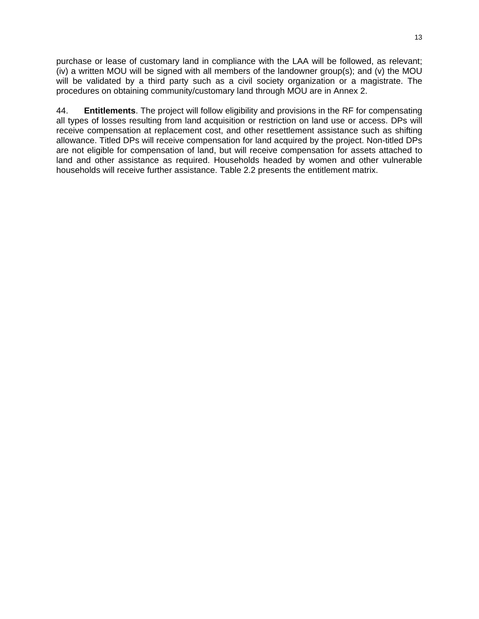purchase or lease of customary land in compliance with the LAA will be followed, as relevant; (iv) a written MOU will be signed with all members of the landowner group(s); and (v) the MOU will be validated by a third party such as a civil society organization or a magistrate. The procedures on obtaining community/customary land through MOU are in Annex 2.

44. **Entitlements**. The project will follow eligibility and provisions in the RF for compensating all types of losses resulting from land acquisition or restriction on land use or access. DPs will receive compensation at replacement cost, and other resettlement assistance such as shifting allowance. Titled DPs will receive compensation for land acquired by the project. Non-titled DPs are not eligible for compensation of land, but will receive compensation for assets attached to land and other assistance as required. Households headed by women and other vulnerable households will receive further assistance. Table 2.2 presents the entitlement matrix.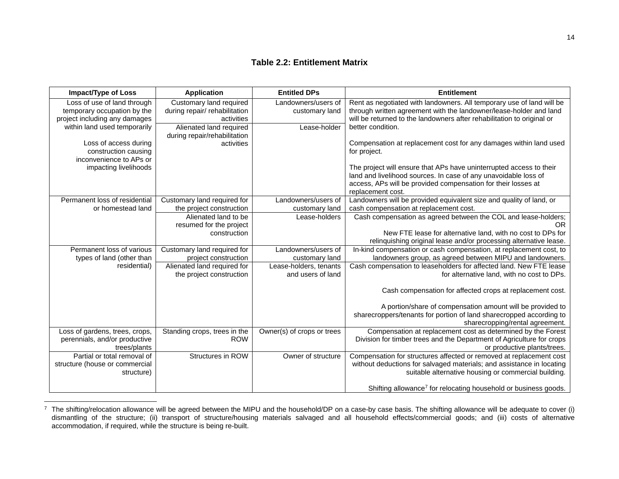#### **Table 2.2: Entitlement Matrix**

| <b>Impact/Type of Loss</b>                                                                  | <b>Application</b>                                                     | <b>Entitled DPs</b>                         | <b>Entitlement</b>                                                                                                                                                                                                           |
|---------------------------------------------------------------------------------------------|------------------------------------------------------------------------|---------------------------------------------|------------------------------------------------------------------------------------------------------------------------------------------------------------------------------------------------------------------------------|
| Loss of use of land through<br>temporary occupation by the<br>project including any damages | Customary land required<br>during repair/ rehabilitation<br>activities | Landowners/users of<br>customary land       | Rent as negotiated with landowners. All temporary use of land will be<br>through written agreement with the landowner/lease-holder and land<br>will be returned to the landowners after rehabilitation to original or        |
| within land used temporarily                                                                | Alienated land required<br>during repair/rehabilitation                | Lease-holder                                | better condition.                                                                                                                                                                                                            |
| Loss of access during<br>construction causing<br>inconvenience to APs or                    | activities                                                             |                                             | Compensation at replacement cost for any damages within land used<br>for project.                                                                                                                                            |
| impacting livelihoods                                                                       |                                                                        |                                             | The project will ensure that APs have uninterrupted access to their<br>land and livelihood sources. In case of any unavoidable loss of<br>access, APs will be provided compensation for their losses at<br>replacement cost. |
| Permanent loss of residential                                                               | Customary land required for                                            | Landowners/users of                         | Landowners will be provided equivalent size and quality of land, or                                                                                                                                                          |
| or homestead land                                                                           | the project construction                                               | customary land                              | cash compensation at replacement cost.                                                                                                                                                                                       |
|                                                                                             | Alienated land to be                                                   | Lease-holders                               | Cash compensation as agreed between the COL and lease-holders;                                                                                                                                                               |
|                                                                                             | resumed for the project                                                |                                             | <b>OR</b>                                                                                                                                                                                                                    |
|                                                                                             | construction                                                           |                                             | New FTE lease for alternative land, with no cost to DPs for<br>relinquishing original lease and/or processing alternative lease.                                                                                             |
| Permanent loss of various                                                                   | Customary land required for                                            | Landowners/users of                         | In-kind compensation or cash compensation, at replacement cost, to                                                                                                                                                           |
| types of land (other than                                                                   | project construction                                                   | customary land                              | landowners group, as agreed between MIPU and landowners.                                                                                                                                                                     |
| residential)                                                                                | Alienated land required for<br>the project construction                | Lease-holders, tenants<br>and users of land | Cash compensation to leaseholders for affected land. New FTE lease<br>for alternative land, with no cost to DPs.                                                                                                             |
|                                                                                             |                                                                        |                                             | Cash compensation for affected crops at replacement cost.                                                                                                                                                                    |
|                                                                                             |                                                                        |                                             | A portion/share of compensation amount will be provided to                                                                                                                                                                   |
|                                                                                             |                                                                        |                                             | sharecroppers/tenants for portion of land sharecropped according to<br>sharecropping/rental agreement.                                                                                                                       |
| Loss of gardens, trees, crops,                                                              | Standing crops, trees in the                                           | Owner(s) of crops or trees                  | Compensation at replacement cost as determined by the Forest                                                                                                                                                                 |
| perennials, and/or productive<br>trees/plants                                               | <b>ROW</b>                                                             |                                             | Division for timber trees and the Department of Agriculture for crops<br>or productive plants/trees.                                                                                                                         |
| Partial or total removal of                                                                 | Structures in ROW                                                      | Owner of structure                          | Compensation for structures affected or removed at replacement cost                                                                                                                                                          |
| structure (house or commercial                                                              |                                                                        |                                             | without deductions for salvaged materials; and assistance in locating                                                                                                                                                        |
| structure)                                                                                  |                                                                        |                                             | suitable alternative housing or commercial building.                                                                                                                                                                         |
|                                                                                             |                                                                        |                                             | Shifting allowance <sup>7</sup> for relocating household or business goods.                                                                                                                                                  |

 $^7$  The shifting/relocation allowance will be agreed between the MIPU and the household/DP on a case-by case basis. The shifting allowance will be adequate to cover (i) dismantling of the structure; (ii) transport of structure/housing materials salvaged and all household effects/commercial goods; and (iii) costs of alternative accommodation, if required, while the structure is being re-built.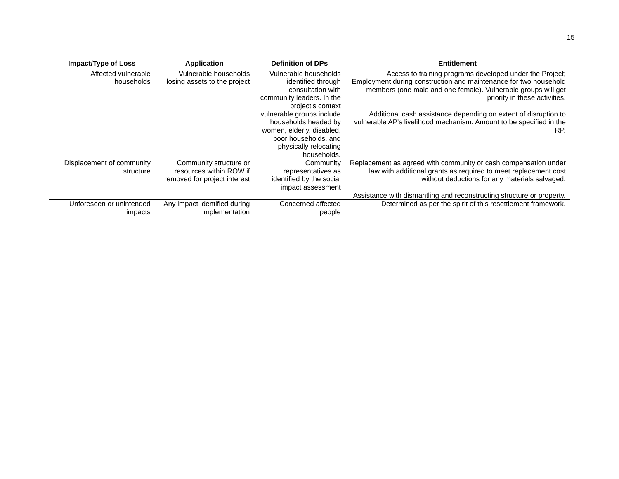| <b>Impact/Type of Loss</b> | <b>Application</b>           | <b>Definition of DPs</b>  | <b>Entitlement</b>                                                    |
|----------------------------|------------------------------|---------------------------|-----------------------------------------------------------------------|
| Affected vulnerable        | Vulnerable households        | Vulnerable households     | Access to training programs developed under the Project;              |
| households                 | losing assets to the project | identified through        | Employment during construction and maintenance for two household      |
|                            |                              | consultation with         | members (one male and one female). Vulnerable groups will get         |
|                            |                              | community leaders. In the | priority in these activities.                                         |
|                            |                              | project's context         |                                                                       |
|                            |                              | vulnerable groups include | Additional cash assistance depending on extent of disruption to       |
|                            |                              | households headed by      | vulnerable AP's livelihood mechanism. Amount to be specified in the   |
|                            |                              | women, elderly, disabled, | RP.                                                                   |
|                            |                              | poor households, and      |                                                                       |
|                            |                              | physically relocating     |                                                                       |
|                            |                              | households.               |                                                                       |
| Displacement of community  | Community structure or       | Community                 | Replacement as agreed with community or cash compensation under       |
| structure                  | resources within ROW if      | representatives as        | law with additional grants as required to meet replacement cost       |
|                            | removed for project interest | identified by the social  | without deductions for any materials salvaged.                        |
|                            |                              | impact assessment         |                                                                       |
|                            |                              |                           | Assistance with dismantling and reconstructing structure or property. |
| Unforeseen or unintended   | Any impact identified during | Concerned affected        | Determined as per the spirit of this resettlement framework.          |
| impacts                    | implementation               | people                    |                                                                       |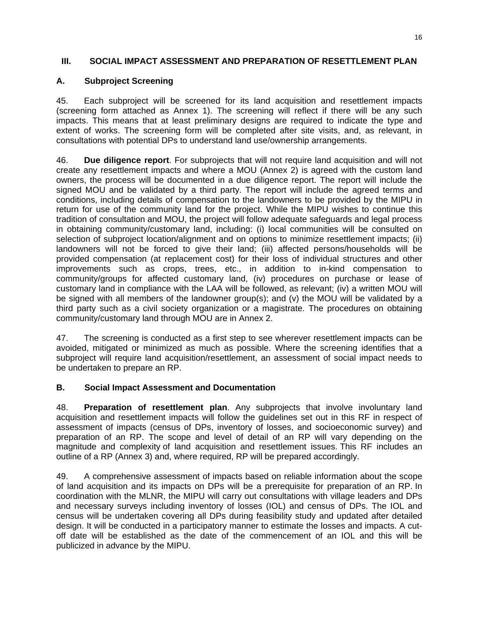#### **III. SOCIAL IMPACT ASSESSMENT AND PREPARATION OF RESETTLEMENT PLAN**

#### **A. Subproject Screening**

45. Each subproject will be screened for its land acquisition and resettlement impacts (screening form attached as Annex 1). The screening will reflect if there will be any such impacts. This means that at least preliminary designs are required to indicate the type and extent of works. The screening form will be completed after site visits, and, as relevant, in consultations with potential DPs to understand land use/ownership arrangements.

46. **Due diligence report**. For subprojects that will not require land acquisition and will not create any resettlement impacts and where a MOU (Annex 2) is agreed with the custom land owners, the process will be documented in a due diligence report. The report will include the signed MOU and be validated by a third party. The report will include the agreed terms and conditions, including details of compensation to the landowners to be provided by the MIPU in return for use of the community land for the project. While the MIPU wishes to continue this tradition of consultation and MOU, the project will follow adequate safeguards and legal process in obtaining community/customary land, including: (i) local communities will be consulted on selection of subproject location/alignment and on options to minimize resettlement impacts; (ii) landowners will not be forced to give their land; (iii) affected persons/households will be provided compensation (at replacement cost) for their loss of individual structures and other improvements such as crops, trees, etc., in addition to in-kind compensation to community/groups for affected customary land, (iv) procedures on purchase or lease of customary land in compliance with the LAA will be followed, as relevant; (iv) a written MOU will be signed with all members of the landowner group(s); and (v) the MOU will be validated by a third party such as a civil society organization or a magistrate. The procedures on obtaining community/customary land through MOU are in Annex 2.

47. The screening is conducted as a first step to see wherever resettlement impacts can be avoided, mitigated or minimized as much as possible. Where the screening identifies that a subproject will require land acquisition/resettlement, an assessment of social impact needs to be undertaken to prepare an RP.

#### **B. Social Impact Assessment and Documentation**

48. **Preparation of resettlement plan**. Any subprojects that involve involuntary land acquisition and resettlement impacts will follow the guidelines set out in this RF in respect of assessment of impacts (census of DPs, inventory of losses, and socioeconomic survey) and preparation of an RP. The scope and level of detail of an RP will vary depending on the magnitude and complexity of land acquisition and resettlement issues. This RF includes an outline of a RP (Annex 3) and, where required, RP will be prepared accordingly.

49. A comprehensive assessment of impacts based on reliable information about the scope of land acquisition and its impacts on DPs will be a prerequisite for preparation of an RP. In coordination with the MLNR, the MIPU will carry out consultations with village leaders and DPs and necessary surveys including inventory of losses (IOL) and census of DPs. The IOL and census will be undertaken covering all DPs during feasibility study and updated after detailed design. It will be conducted in a participatory manner to estimate the losses and impacts. A cutoff date will be established as the date of the commencement of an IOL and this will be publicized in advance by the MIPU.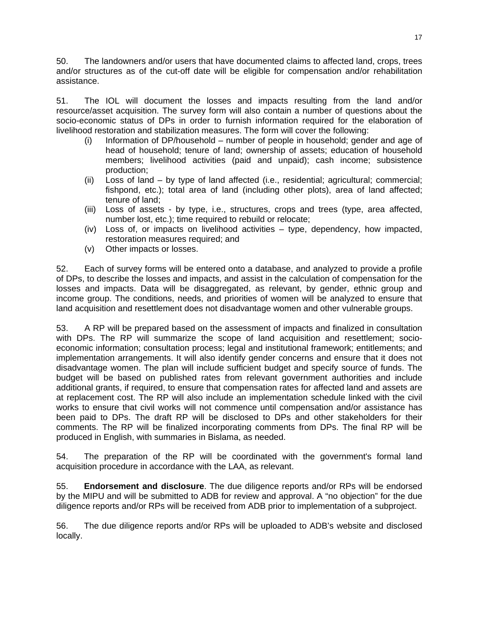50. The landowners and/or users that have documented claims to affected land, crops, trees and/or structures as of the cut-off date will be eligible for compensation and/or rehabilitation assistance.

51. The IOL will document the losses and impacts resulting from the land and/or resource/asset acquisition. The survey form will also contain a number of questions about the socio-economic status of DPs in order to furnish information required for the elaboration of livelihood restoration and stabilization measures. The form will cover the following:

- (i) Information of DP/household number of people in household; gender and age of head of household; tenure of land; ownership of assets; education of household members; livelihood activities (paid and unpaid); cash income; subsistence production;
- (ii) Loss of land by type of land affected (i.e., residential; agricultural; commercial; fishpond, etc.); total area of land (including other plots), area of land affected; tenure of land;
- (iii) Loss of assets by type, i.e., structures, crops and trees (type, area affected, number lost, etc.); time required to rebuild or relocate;
- (iv) Loss of, or impacts on livelihood activities type, dependency, how impacted, restoration measures required; and
- (v) Other impacts or losses.

52. Each of survey forms will be entered onto a database, and analyzed to provide a profile of DPs, to describe the losses and impacts, and assist in the calculation of compensation for the losses and impacts. Data will be disaggregated, as relevant, by gender, ethnic group and income group. The conditions, needs, and priorities of women will be analyzed to ensure that land acquisition and resettlement does not disadvantage women and other vulnerable groups.

53. A RP will be prepared based on the assessment of impacts and finalized in consultation with DPs. The RP will summarize the scope of land acquisition and resettlement; socioeconomic information; consultation process; legal and institutional framework; entitlements; and implementation arrangements. It will also identify gender concerns and ensure that it does not disadvantage women. The plan will include sufficient budget and specify source of funds. The budget will be based on published rates from relevant government authorities and include additional grants, if required, to ensure that compensation rates for affected land and assets are at replacement cost. The RP will also include an implementation schedule linked with the civil works to ensure that civil works will not commence until compensation and/or assistance has been paid to DPs. The draft RP will be disclosed to DPs and other stakeholders for their comments. The RP will be finalized incorporating comments from DPs. The final RP will be produced in English, with summaries in Bislama, as needed.

54. The preparation of the RP will be coordinated with the government's formal land acquisition procedure in accordance with the LAA, as relevant.

55. **Endorsement and disclosure**. The due diligence reports and/or RPs will be endorsed by the MIPU and will be submitted to ADB for review and approval. A "no objection" for the due diligence reports and/or RPs will be received from ADB prior to implementation of a subproject.

56. The due diligence reports and/or RPs will be uploaded to ADB's website and disclosed locally.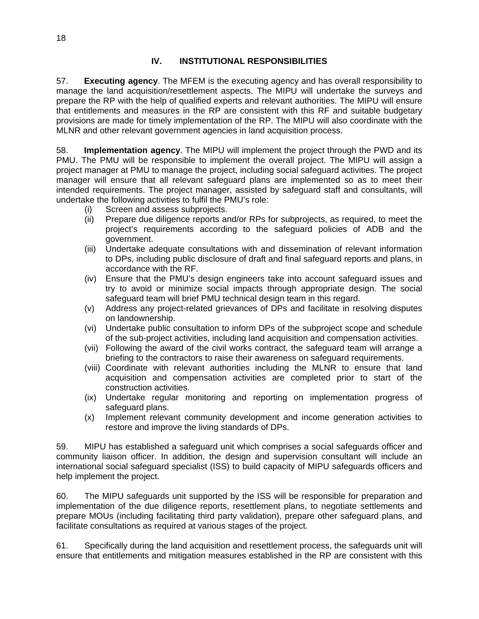57. **Executing agency**. The MFEM is the executing agency and has overall responsibility to manage the land acquisition/resettlement aspects. The MIPU will undertake the surveys and prepare the RP with the help of qualified experts and relevant authorities. The MIPU will ensure that entitlements and measures in the RP are consistent with this RF and suitable budgetary provisions are made for timely implementation of the RP. The MIPU will also coordinate with the MLNR and other relevant government agencies in land acquisition process.

58. **Implementation agency**. The MIPU will implement the project through the PWD and its PMU. The PMU will be responsible to implement the overall project. The MIPU will assign a project manager at PMU to manage the project, including social safeguard activities. The project manager will ensure that all relevant safeguard plans are implemented so as to meet their intended requirements. The project manager, assisted by safeguard staff and consultants, will undertake the following activities to fulfil the PMU's role:

- (i) Screen and assess subprojects.
- (ii) Prepare due diligence reports and/or RPs for subprojects, as required, to meet the project's requirements according to the safeguard policies of ADB and the government.
- (iii) Undertake adequate consultations with and dissemination of relevant information to DPs, including public disclosure of draft and final safeguard reports and plans, in accordance with the RF.
- (iv) Ensure that the PMU's design engineers take into account safeguard issues and try to avoid or minimize social impacts through appropriate design. The social safeguard team will brief PMU technical design team in this regard.
- (v) Address any project-related grievances of DPs and facilitate in resolving disputes on landownership.
- (vi) Undertake public consultation to inform DPs of the subproject scope and schedule of the sub-project activities, including land acquisition and compensation activities.
- (vii) Following the award of the civil works contract, the safeguard team will arrange a briefing to the contractors to raise their awareness on safeguard requirements.
- (viii) Coordinate with relevant authorities including the MLNR to ensure that land acquisition and compensation activities are completed prior to start of the construction activities.
- (ix) Undertake regular monitoring and reporting on implementation progress of safeguard plans.
- (x) Implement relevant community development and income generation activities to restore and improve the living standards of DPs.

59. MIPU has established a safeguard unit which comprises a social safeguards officer and community liaison officer. In addition, the design and supervision consultant will include an international social safeguard specialist (ISS) to build capacity of MIPU safeguards officers and help implement the project.

60. The MIPU safeguards unit supported by the ISS will be responsible for preparation and implementation of the due diligence reports, resettlement plans, to negotiate settlements and prepare MOUs (including facilitating third party validation), prepare other safeguard plans, and facilitate consultations as required at various stages of the project.

61. Specifically during the land acquisition and resettlement process, the safeguards unit will ensure that entitlements and mitigation measures established in the RP are consistent with this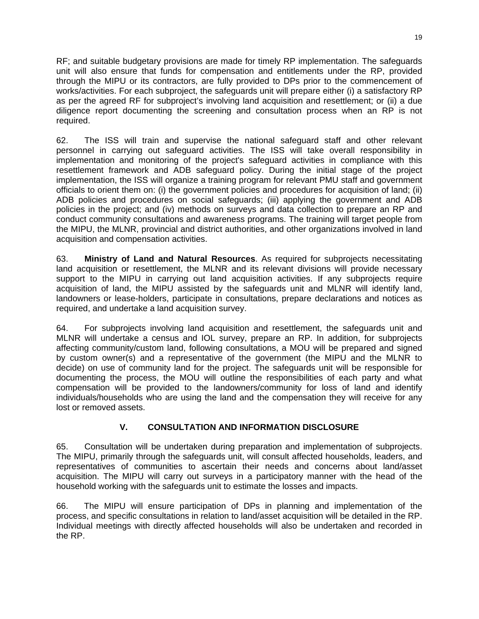RF; and suitable budgetary provisions are made for timely RP implementation. The safeguards unit will also ensure that funds for compensation and entitlements under the RP, provided through the MIPU or its contractors, are fully provided to DPs prior to the commencement of works/activities. For each subproject, the safeguards unit will prepare either (i) a satisfactory RP as per the agreed RF for subproject's involving land acquisition and resettlement; or (ii) a due diligence report documenting the screening and consultation process when an RP is not required.

62. The ISS will train and supervise the national safeguard staff and other relevant personnel in carrying out safeguard activities. The ISS will take overall responsibility in implementation and monitoring of the project's safeguard activities in compliance with this resettlement framework and ADB safeguard policy. During the initial stage of the project implementation, the ISS will organize a training program for relevant PMU staff and government officials to orient them on: (i) the government policies and procedures for acquisition of land; (ii) ADB policies and procedures on social safeguards; (iii) applying the government and ADB policies in the project; and (iv) methods on surveys and data collection to prepare an RP and conduct community consultations and awareness programs. The training will target people from the MIPU, the MLNR, provincial and district authorities, and other organizations involved in land acquisition and compensation activities.

63. **Ministry of Land and Natural Resources**. As required for subprojects necessitating land acquisition or resettlement, the MLNR and its relevant divisions will provide necessary support to the MIPU in carrying out land acquisition activities. If any subprojects require acquisition of land, the MIPU assisted by the safeguards unit and MLNR will identify land, landowners or lease-holders, participate in consultations, prepare declarations and notices as required, and undertake a land acquisition survey.

64. For subprojects involving land acquisition and resettlement, the safeguards unit and MLNR will undertake a census and IOL survey, prepare an RP. In addition, for subprojects affecting community/custom land, following consultations, a MOU will be prepared and signed by custom owner(s) and a representative of the government (the MIPU and the MLNR to decide) on use of community land for the project. The safeguards unit will be responsible for documenting the process, the MOU will outline the responsibilities of each party and what compensation will be provided to the landowners/community for loss of land and identify individuals/households who are using the land and the compensation they will receive for any lost or removed assets.

## **V. CONSULTATION AND INFORMATION DISCLOSURE**

65. Consultation will be undertaken during preparation and implementation of subprojects. The MIPU, primarily through the safeguards unit, will consult affected households, leaders, and representatives of communities to ascertain their needs and concerns about land/asset acquisition. The MIPU will carry out surveys in a participatory manner with the head of the household working with the safeguards unit to estimate the losses and impacts.

66. The MIPU will ensure participation of DPs in planning and implementation of the process, and specific consultations in relation to land/asset acquisition will be detailed in the RP. Individual meetings with directly affected households will also be undertaken and recorded in the RP.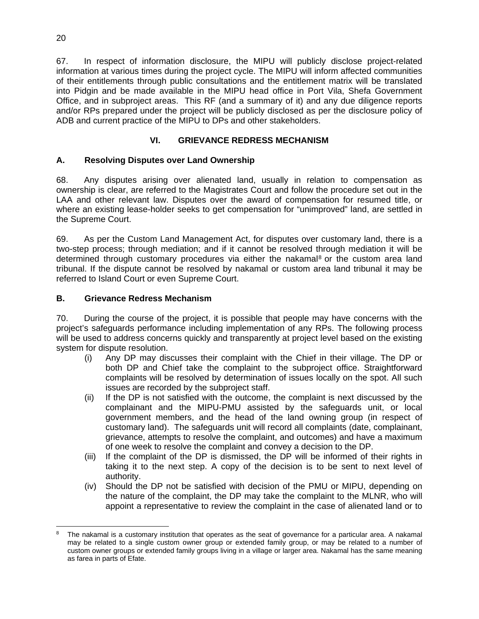67. In respect of information disclosure, the MIPU will publicly disclose project-related information at various times during the project cycle. The MIPU will inform affected communities of their entitlements through public consultations and the entitlement matrix will be translated into Pidgin and be made available in the MIPU head office in Port Vila, Shefa Government Office, and in subproject areas. This RF (and a summary of it) and any due diligence reports and/or RPs prepared under the project will be publicly disclosed as per the disclosure policy of ADB and current practice of the MIPU to DPs and other stakeholders.

## **VI. GRIEVANCE REDRESS MECHANISM**

## **A. Resolving Disputes over Land Ownership**

68. Any disputes arising over alienated land, usually in relation to compensation as ownership is clear, are referred to the Magistrates Court and follow the procedure set out in the LAA and other relevant law. Disputes over the award of compensation for resumed title, or where an existing lease-holder seeks to get compensation for "unimproved" land, are settled in the Supreme Court.

69. As per the Custom Land Management Act, for disputes over customary land, there is a two-step process; through mediation; and if it cannot be resolved through mediation it will be determined through customary procedures via either the nakamal<sup>8</sup> or the custom area land tribunal. If the dispute cannot be resolved by nakamal or custom area land tribunal it may be referred to Island Court or even Supreme Court.

## **B. Grievance Redress Mechanism**

70. During the course of the project, it is possible that people may have concerns with the project's safeguards performance including implementation of any RPs. The following process will be used to address concerns quickly and transparently at project level based on the existing system for dispute resolution.

- (i) Any DP may discusses their complaint with the Chief in their village. The DP or both DP and Chief take the complaint to the subproject office. Straightforward complaints will be resolved by determination of issues locally on the spot. All such issues are recorded by the subproject staff.
- (ii) If the DP is not satisfied with the outcome, the complaint is next discussed by the complainant and the MIPU-PMU assisted by the safeguards unit, or local government members, and the head of the land owning group (in respect of customary land). The safeguards unit will record all complaints (date, complainant, grievance, attempts to resolve the complaint, and outcomes) and have a maximum of one week to resolve the complaint and convey a decision to the DP.
- (iii) If the complaint of the DP is dismissed, the DP will be informed of their rights in taking it to the next step. A copy of the decision is to be sent to next level of authority.
- (iv) Should the DP not be satisfied with decision of the PMU or MIPU, depending on the nature of the complaint, the DP may take the complaint to the MLNR, who will appoint a representative to review the complaint in the case of alienated land or to

 The nakamal is a customary institution that operates as the seat of governance for a particular area. A nakamal may be related to a single custom owner group or extended family group, or may be related to a number of custom owner groups or extended family groups living in a village or larger area. Nakamal has the same meaning as farea in parts of Efate.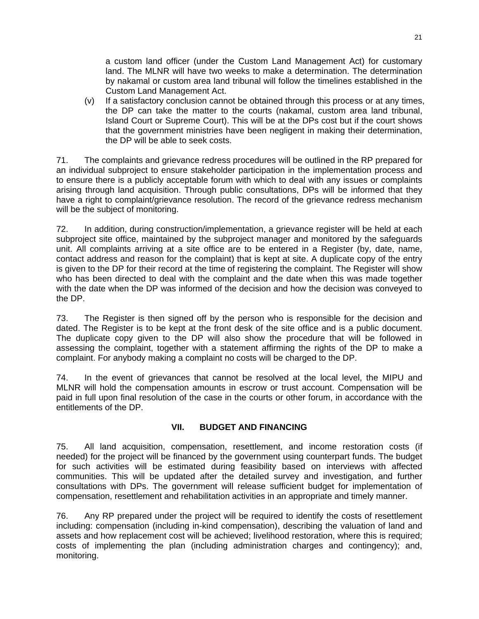a custom land officer (under the Custom Land Management Act) for customary land. The MLNR will have two weeks to make a determination. The determination by nakamal or custom area land tribunal will follow the timelines established in the Custom Land Management Act.

(v) If a satisfactory conclusion cannot be obtained through this process or at any times, the DP can take the matter to the courts (nakamal, custom area land tribunal, Island Court or Supreme Court). This will be at the DPs cost but if the court shows that the government ministries have been negligent in making their determination, the DP will be able to seek costs.

71. The complaints and grievance redress procedures will be outlined in the RP prepared for an individual subproject to ensure stakeholder participation in the implementation process and to ensure there is a publicly acceptable forum with which to deal with any issues or complaints arising through land acquisition. Through public consultations, DPs will be informed that they have a right to complaint/grievance resolution. The record of the grievance redress mechanism will be the subject of monitoring.

72. In addition, during construction/implementation, a grievance register will be held at each subproject site office, maintained by the subproject manager and monitored by the safeguards unit. All complaints arriving at a site office are to be entered in a Register (by, date, name, contact address and reason for the complaint) that is kept at site. A duplicate copy of the entry is given to the DP for their record at the time of registering the complaint. The Register will show who has been directed to deal with the complaint and the date when this was made together with the date when the DP was informed of the decision and how the decision was conveyed to the DP.

73. The Register is then signed off by the person who is responsible for the decision and dated. The Register is to be kept at the front desk of the site office and is a public document. The duplicate copy given to the DP will also show the procedure that will be followed in assessing the complaint, together with a statement affirming the rights of the DP to make a complaint. For anybody making a complaint no costs will be charged to the DP.

74. In the event of grievances that cannot be resolved at the local level, the MIPU and MLNR will hold the compensation amounts in escrow or trust account. Compensation will be paid in full upon final resolution of the case in the courts or other forum, in accordance with the entitlements of the DP.

## **VII. BUDGET AND FINANCING**

75. All land acquisition, compensation, resettlement, and income restoration costs (if needed) for the project will be financed by the government using counterpart funds. The budget for such activities will be estimated during feasibility based on interviews with affected communities. This will be updated after the detailed survey and investigation, and further consultations with DPs. The government will release sufficient budget for implementation of compensation, resettlement and rehabilitation activities in an appropriate and timely manner.

76. Any RP prepared under the project will be required to identify the costs of resettlement including: compensation (including in-kind compensation), describing the valuation of land and assets and how replacement cost will be achieved; livelihood restoration, where this is required; costs of implementing the plan (including administration charges and contingency); and, monitoring.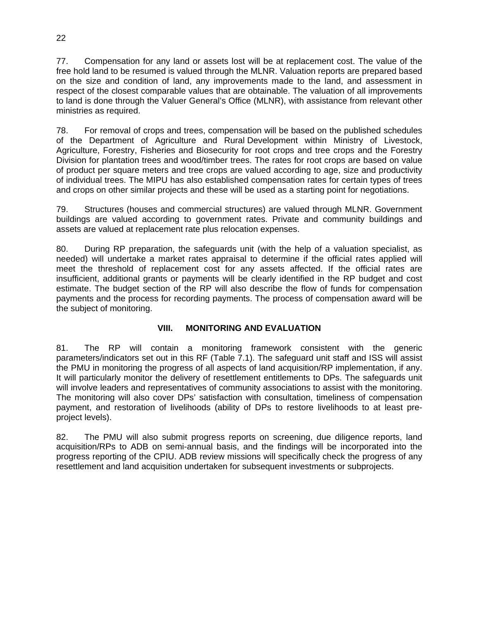77. Compensation for any land or assets lost will be at replacement cost. The value of the free hold land to be resumed is valued through the MLNR. Valuation reports are prepared based on the size and condition of land, any improvements made to the land, and assessment in respect of the closest comparable values that are obtainable. The valuation of all improvements to land is done through the Valuer General's Office (MLNR), with assistance from relevant other ministries as required.

78. For removal of crops and trees, compensation will be based on the published schedules of the Department of Agriculture and Rural Development within Ministry of Livestock, Agriculture, Forestry, Fisheries and Biosecurity for root crops and tree crops and the Forestry Division for plantation trees and wood/timber trees. The rates for root crops are based on value of product per square meters and tree crops are valued according to age, size and productivity of individual trees. The MIPU has also established compensation rates for certain types of trees and crops on other similar projects and these will be used as a starting point for negotiations.

79. Structures (houses and commercial structures) are valued through MLNR. Government buildings are valued according to government rates. Private and community buildings and assets are valued at replacement rate plus relocation expenses.

80. During RP preparation, the safeguards unit (with the help of a valuation specialist, as needed) will undertake a market rates appraisal to determine if the official rates applied will meet the threshold of replacement cost for any assets affected. If the official rates are insufficient, additional grants or payments will be clearly identified in the RP budget and cost estimate. The budget section of the RP will also describe the flow of funds for compensation payments and the process for recording payments. The process of compensation award will be the subject of monitoring.

## **VIII. MONITORING AND EVALUATION**

81. The RP will contain a monitoring framework consistent with the generic parameters/indicators set out in this RF (Table 7.1). The safeguard unit staff and ISS will assist the PMU in monitoring the progress of all aspects of land acquisition/RP implementation, if any. It will particularly monitor the delivery of resettlement entitlements to DPs. The safeguards unit will involve leaders and representatives of community associations to assist with the monitoring. The monitoring will also cover DPs' satisfaction with consultation, timeliness of compensation payment, and restoration of livelihoods (ability of DPs to restore livelihoods to at least preproject levels).

82. The PMU will also submit progress reports on screening, due diligence reports, land acquisition/RPs to ADB on semi-annual basis, and the findings will be incorporated into the progress reporting of the CPIU. ADB review missions will specifically check the progress of any resettlement and land acquisition undertaken for subsequent investments or subprojects.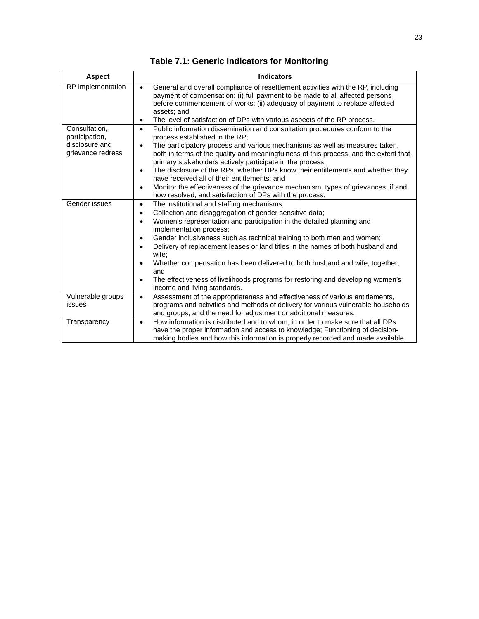|  |  |  |  | <b>Table 7.1: Generic Indicators for Monitoring</b> |
|--|--|--|--|-----------------------------------------------------|
|--|--|--|--|-----------------------------------------------------|

| <b>Aspect</b>                                                          | <b>Indicators</b>                                                                                                                                                                                                                                                                                                                                                                                                                                                                                                                                                                                                                                                                        |
|------------------------------------------------------------------------|------------------------------------------------------------------------------------------------------------------------------------------------------------------------------------------------------------------------------------------------------------------------------------------------------------------------------------------------------------------------------------------------------------------------------------------------------------------------------------------------------------------------------------------------------------------------------------------------------------------------------------------------------------------------------------------|
| RP implementation                                                      | General and overall compliance of resettlement activities with the RP, including<br>$\bullet$<br>payment of compensation: (i) full payment to be made to all affected persons<br>before commencement of works; (ii) adequacy of payment to replace affected<br>assets; and<br>The level of satisfaction of DPs with various aspects of the RP process.<br>$\bullet$                                                                                                                                                                                                                                                                                                                      |
| Consultation,<br>participation,<br>disclosure and<br>grievance redress | Public information dissemination and consultation procedures conform to the<br>$\bullet$<br>process established in the RP;<br>The participatory process and various mechanisms as well as measures taken,<br>$\bullet$<br>both in terms of the quality and meaningfulness of this process, and the extent that<br>primary stakeholders actively participate in the process;<br>The disclosure of the RPs, whether DPs know their entitlements and whether they<br>$\bullet$<br>have received all of their entitlements; and<br>Monitor the effectiveness of the grievance mechanism, types of grievances, if and<br>$\bullet$<br>how resolved, and satisfaction of DPs with the process. |
| Gender issues                                                          | The institutional and staffing mechanisms;<br>$\bullet$<br>Collection and disaggregation of gender sensitive data;<br>$\bullet$<br>Women's representation and participation in the detailed planning and<br>$\bullet$<br>implementation process;<br>Gender inclusiveness such as technical training to both men and women;<br>$\bullet$<br>Delivery of replacement leases or land titles in the names of both husband and<br>$\bullet$<br>wife;<br>Whether compensation has been delivered to both husband and wife, together;<br>and<br>The effectiveness of livelihoods programs for restoring and developing women's<br>٠<br>income and living standards.                             |
| Vulnerable groups<br>issues                                            | Assessment of the appropriateness and effectiveness of various entitlements,<br>$\bullet$<br>programs and activities and methods of delivery for various vulnerable households<br>and groups, and the need for adjustment or additional measures.                                                                                                                                                                                                                                                                                                                                                                                                                                        |
| Transparency                                                           | How information is distributed and to whom, in order to make sure that all DPs<br>$\bullet$<br>have the proper information and access to knowledge; Functioning of decision-<br>making bodies and how this information is properly recorded and made available.                                                                                                                                                                                                                                                                                                                                                                                                                          |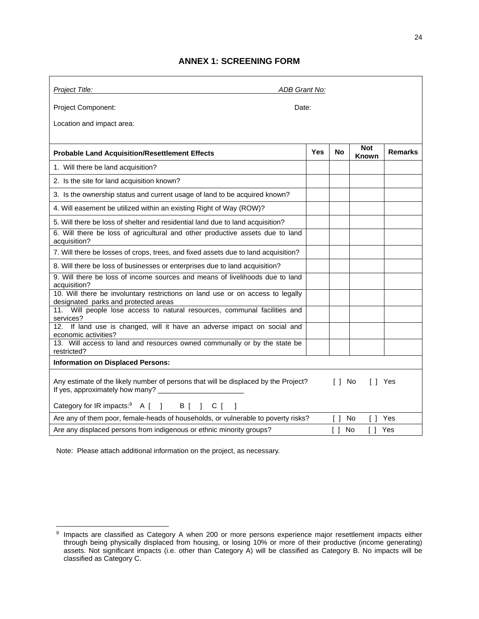#### **ANNEX 1: SCREENING FORM**

| Project Title:                                                                                                                                      | ADB Grant No: |           |              |                |  |
|-----------------------------------------------------------------------------------------------------------------------------------------------------|---------------|-----------|--------------|----------------|--|
| <b>Project Component:</b><br>Date:                                                                                                                  |               |           |              |                |  |
| Location and impact area:                                                                                                                           |               |           |              |                |  |
|                                                                                                                                                     |               |           | <b>Not</b>   |                |  |
| <b>Probable Land Acquisition/Resettlement Effects</b>                                                                                               | <b>Yes</b>    | <b>No</b> | <b>Known</b> | <b>Remarks</b> |  |
| 1. Will there be land acquisition?                                                                                                                  |               |           |              |                |  |
| 2. Is the site for land acquisition known?                                                                                                          |               |           |              |                |  |
| 3. Is the ownership status and current usage of land to be acquired known?                                                                          |               |           |              |                |  |
| 4. Will easement be utilized within an existing Right of Way (ROW)?                                                                                 |               |           |              |                |  |
| 5. Will there be loss of shelter and residential land due to land acquisition?                                                                      |               |           |              |                |  |
| 6. Will there be loss of agricultural and other productive assets due to land<br>acquisition?                                                       |               |           |              |                |  |
| 7. Will there be losses of crops, trees, and fixed assets due to land acquisition?                                                                  |               |           |              |                |  |
| 8. Will there be loss of businesses or enterprises due to land acquisition?                                                                         |               |           |              |                |  |
| 9. Will there be loss of income sources and means of livelihoods due to land<br>acquisition?                                                        |               |           |              |                |  |
| 10. Will there be involuntary restrictions on land use or on access to legally<br>designated parks and protected areas                              |               |           |              |                |  |
| 11. Will people lose access to natural resources, communal facilities and<br>services?                                                              |               |           |              |                |  |
| 12. If land use is changed, will it have an adverse impact on social and<br>economic activities?                                                    |               |           |              |                |  |
| 13. Will access to land and resources owned communally or by the state be<br>restricted?                                                            |               |           |              |                |  |
| <b>Information on Displaced Persons:</b>                                                                                                            |               |           |              |                |  |
| Any estimate of the likely number of persons that will be displaced by the Project?<br>[ ] No<br>II Yes<br>If yes, approximately how many? ________ |               |           |              |                |  |
| Category for IR impacts: <sup>9</sup> A [ ] B [ ] C [<br>1                                                                                          |               |           |              |                |  |
| Are any of them poor, female-heads of households, or vulnerable to poverty risks?                                                                   |               | $\Box$    | No<br>Γl     | Yes            |  |
| Are any displaced persons from indigenous or ethnic minority groups?<br>[] Yes<br>$\Box$<br>No                                                      |               |           |              |                |  |

Note: Please attach additional information on the project, as necessary.

 $\boldsymbol{9}$ <sup>9</sup> Impacts are classified as Category A when 200 or more persons experience major resettlement impacts either through being physically displaced from housing, or losing 10% or more of their productive (income generating) assets. Not significant impacts (i.e. other than Category A) will be classified as Category B. No impacts will be classified as Category C.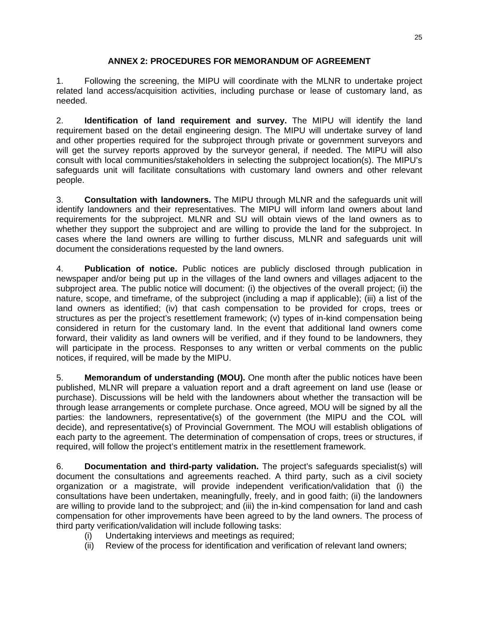#### **ANNEX 2: PROCEDURES FOR MEMORANDUM OF AGREEMENT**

1. Following the screening, the MIPU will coordinate with the MLNR to undertake project related land access/acquisition activities, including purchase or lease of customary land, as needed.

2. **Identification of land requirement and survey.** The MIPU will identify the land requirement based on the detail engineering design. The MIPU will undertake survey of land and other properties required for the subproject through private or government surveyors and will get the survey reports approved by the surveyor general, if needed. The MIPU will also consult with local communities/stakeholders in selecting the subproject location(s). The MIPU's safeguards unit will facilitate consultations with customary land owners and other relevant people.

3. **Consultation with landowners.** The MIPU through MLNR and the safeguards unit will identify landowners and their representatives. The MIPU will inform land owners about land requirements for the subproject. MLNR and SU will obtain views of the land owners as to whether they support the subproject and are willing to provide the land for the subproject. In cases where the land owners are willing to further discuss, MLNR and safeguards unit will document the considerations requested by the land owners.

4. **Publication of notice.** Public notices are publicly disclosed through publication in newspaper and/or being put up in the villages of the land owners and villages adjacent to the subproject area. The public notice will document: (i) the objectives of the overall project; (ii) the nature, scope, and timeframe, of the subproject (including a map if applicable); (iii) a list of the land owners as identified; (iv) that cash compensation to be provided for crops, trees or structures as per the project's resettlement framework; (v) types of in-kind compensation being considered in return for the customary land. In the event that additional land owners come forward, their validity as land owners will be verified, and if they found to be landowners, they will participate in the process. Responses to any written or verbal comments on the public notices, if required, will be made by the MIPU.

5. **Memorandum of understanding (MOU).** One month after the public notices have been published, MLNR will prepare a valuation report and a draft agreement on land use (lease or purchase). Discussions will be held with the landowners about whether the transaction will be through lease arrangements or complete purchase. Once agreed, MOU will be signed by all the parties: the landowners, representative(s) of the government (the MIPU and the COL will decide), and representative(s) of Provincial Government. The MOU will establish obligations of each party to the agreement. The determination of compensation of crops, trees or structures, if required, will follow the project's entitlement matrix in the resettlement framework.

6. **Documentation and third-party validation.** The project's safeguards specialist(s) will document the consultations and agreements reached. A third party, such as a civil society organization or a magistrate, will provide independent verification/validation that (i) the consultations have been undertaken, meaningfully, freely, and in good faith; (ii) the landowners are willing to provide land to the subproject; and (iii) the in-kind compensation for land and cash compensation for other improvements have been agreed to by the land owners. The process of third party verification/validation will include following tasks:

- (i) Undertaking interviews and meetings as required;
- (ii) Review of the process for identification and verification of relevant land owners;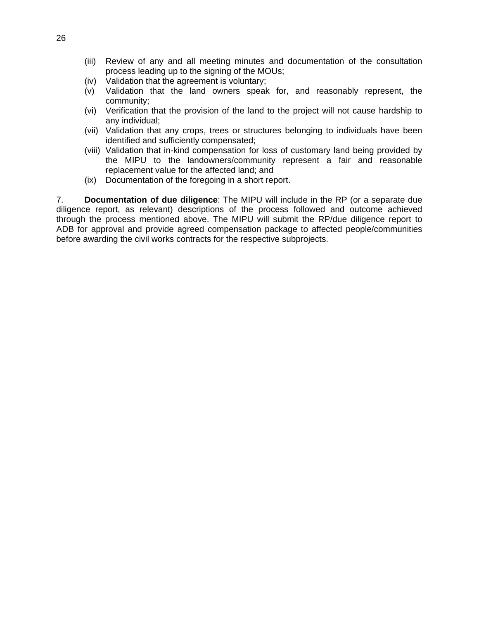- (iii) Review of any and all meeting minutes and documentation of the consultation process leading up to the signing of the MOUs;
- (iv) Validation that the agreement is voluntary;
- (v) Validation that the land owners speak for, and reasonably represent, the community;
- (vi) Verification that the provision of the land to the project will not cause hardship to any individual;
- (vii) Validation that any crops, trees or structures belonging to individuals have been identified and sufficiently compensated;
- (viii) Validation that in-kind compensation for loss of customary land being provided by the MIPU to the landowners/community represent a fair and reasonable replacement value for the affected land; and
- (ix) Documentation of the foregoing in a short report.

7. **Documentation of due diligence**: The MIPU will include in the RP (or a separate due diligence report, as relevant) descriptions of the process followed and outcome achieved through the process mentioned above. The MIPU will submit the RP/due diligence report to ADB for approval and provide agreed compensation package to affected people/communities before awarding the civil works contracts for the respective subprojects.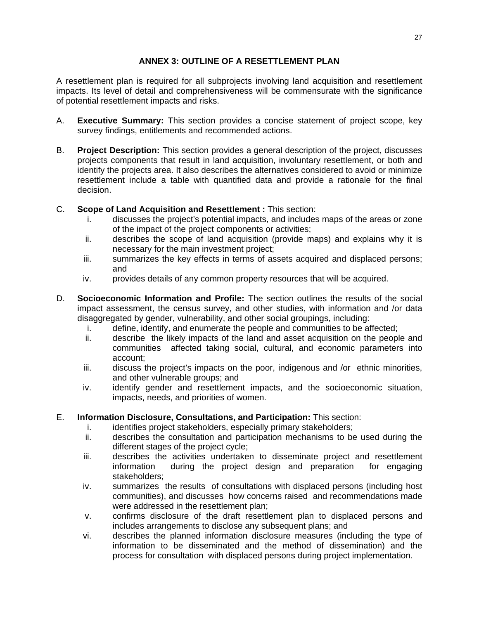#### **ANNEX 3: OUTLINE OF A RESETTLEMENT PLAN**

A resettlement plan is required for all subprojects involving land acquisition and resettlement impacts. Its level of detail and comprehensiveness will be commensurate with the significance of potential resettlement impacts and risks.

- A. **Executive Summary:** This section provides a concise statement of project scope, key survey findings, entitlements and recommended actions.
- B. **Project Description:** This section provides a general description of the project, discusses projects components that result in land acquisition, involuntary resettlement, or both and identify the projects area. It also describes the alternatives considered to avoid or minimize resettlement include a table with quantified data and provide a rationale for the final decision.
- C. **Scope of Land Acquisition and Resettlement :** This section:
	- i. discusses the project's potential impacts, and includes maps of the areas or zone of the impact of the project components or activities;
	- ii. describes the scope of land acquisition (provide maps) and explains why it is necessary for the main investment project;
	- iii. summarizes the key effects in terms of assets acquired and displaced persons; and
	- iv. provides details of any common property resources that will be acquired.
- D. **Socioeconomic Information and Profile:** The section outlines the results of the social impact assessment, the census survey, and other studies, with information and /or data disaggregated by gender, vulnerability, and other social groupings, including:
	- i. define, identify, and enumerate the people and communities to be affected;
	- ii. describe the likely impacts of the land and asset acquisition on the people and communities affected taking social, cultural, and economic parameters into account;
	- iii. discuss the project's impacts on the poor, indigenous and /or ethnic minorities, and other vulnerable groups; and
	- iv. identify gender and resettlement impacts, and the socioeconomic situation, impacts, needs, and priorities of women.

## E. **Information Disclosure, Consultations, and Participation:** This section:

- i. identifies project stakeholders, especially primary stakeholders;
- ii. describes the consultation and participation mechanisms to be used during the different stages of the project cycle;
- iii. describes the activities undertaken to disseminate project and resettlement information during the project design and preparation for engaging stakeholders;
- iv. summarizes the results of consultations with displaced persons (including host communities), and discusses how concerns raised and recommendations made were addressed in the resettlement plan;
- v. confirms disclosure of the draft resettlement plan to displaced persons and includes arrangements to disclose any subsequent plans; and
- vi. describes the planned information disclosure measures (including the type of information to be disseminated and the method of dissemination) and the process for consultation with displaced persons during project implementation.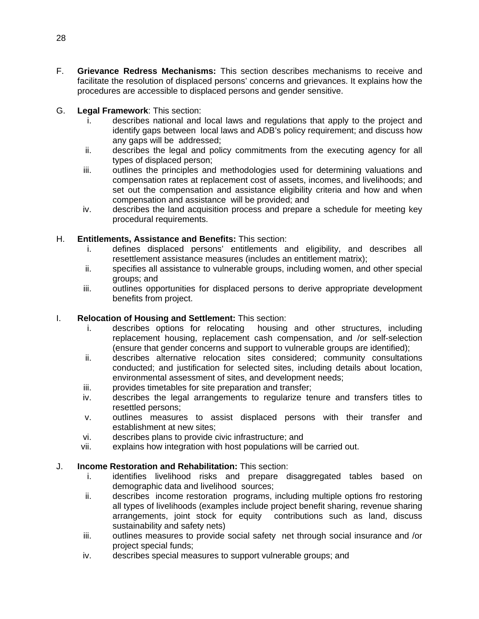- F. **Grievance Redress Mechanisms:** This section describes mechanisms to receive and facilitate the resolution of displaced persons' concerns and grievances. It explains how the procedures are accessible to displaced persons and gender sensitive.
- G. **Legal Framework**: This section:
	- i. describes national and local laws and regulations that apply to the project and identify gaps between local laws and ADB's policy requirement; and discuss how any gaps will be addressed;
	- ii. describes the legal and policy commitments from the executing agency for all types of displaced person;
	- iii. outlines the principles and methodologies used for determining valuations and compensation rates at replacement cost of assets, incomes, and livelihoods; and set out the compensation and assistance eligibility criteria and how and when compensation and assistance will be provided; and
	- iv. describes the land acquisition process and prepare a schedule for meeting key procedural requirements.

#### H. **Entitlements, Assistance and Benefits:** This section:

- i. defines displaced persons' entitlements and eligibility, and describes all resettlement assistance measures (includes an entitlement matrix);
- ii. specifies all assistance to vulnerable groups, including women, and other special groups; and
- iii. outlines opportunities for displaced persons to derive appropriate development benefits from project.

#### I. **Relocation of Housing and Settlement:** This section:

- i. describes options for relocating housing and other structures, including replacement housing, replacement cash compensation, and /or self-selection (ensure that gender concerns and support to vulnerable groups are identified);
- ii. describes alternative relocation sites considered; community consultations conducted; and justification for selected sites, including details about location, environmental assessment of sites, and development needs;
- iii. provides timetables for site preparation and transfer;
- iv. describes the legal arrangements to regularize tenure and transfers titles to resettled persons;
- v. outlines measures to assist displaced persons with their transfer and establishment at new sites;
- vi. describes plans to provide civic infrastructure; and
- vii. explains how integration with host populations will be carried out.

## J. **Income Restoration and Rehabilitation:** This section:

- i. identifies livelihood risks and prepare disaggregated tables based on demographic data and livelihood sources;
- ii. describes income restoration programs, including multiple options fro restoring all types of livelihoods (examples include project benefit sharing, revenue sharing arrangements, joint stock for equity contributions such as land, discuss sustainability and safety nets)
- iii. outlines measures to provide social safety net through social insurance and /or project special funds;
- iv. describes special measures to support vulnerable groups; and